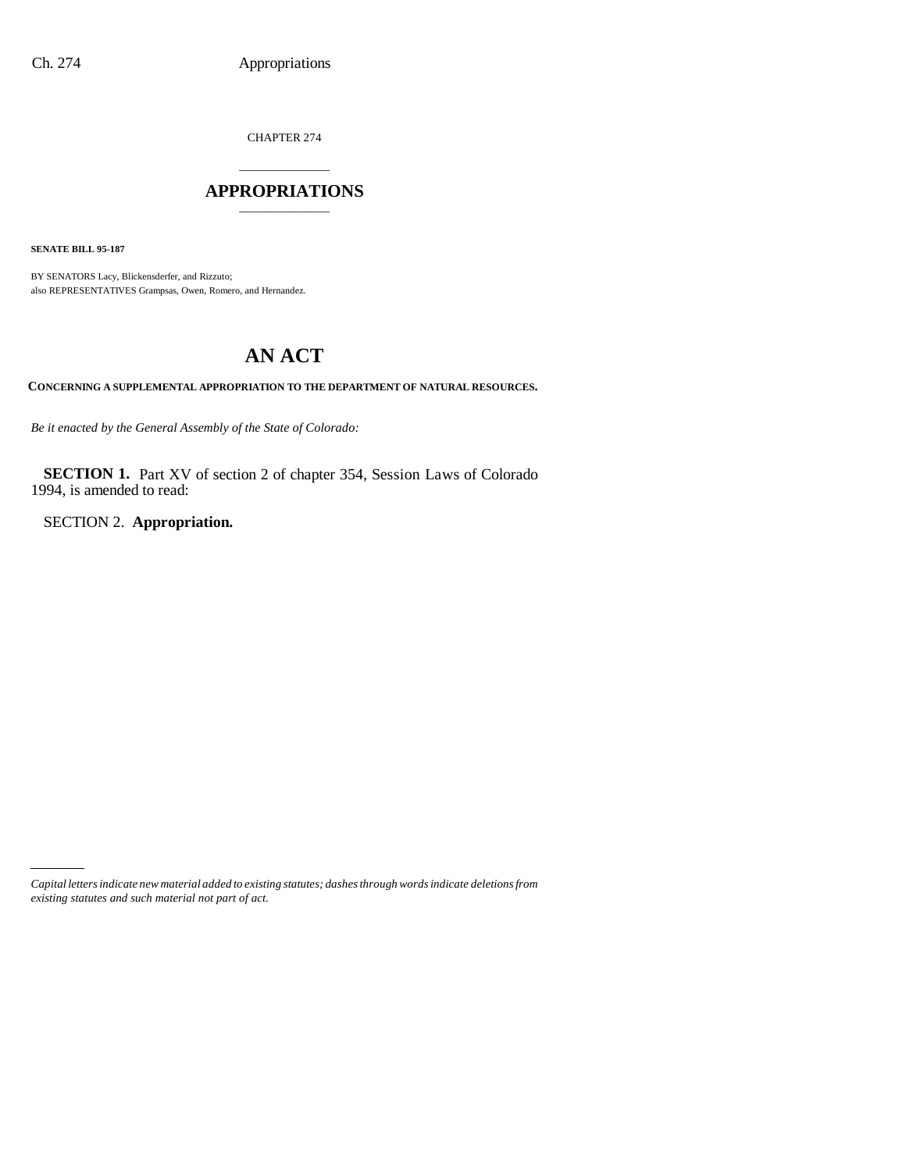CHAPTER 274

# \_\_\_\_\_\_\_\_\_\_\_\_\_\_\_ **APPROPRIATIONS** \_\_\_\_\_\_\_\_\_\_\_\_\_\_\_

**SENATE BILL 95-187**

BY SENATORS Lacy, Blickensderfer, and Rizzuto; also REPRESENTATIVES Grampsas, Owen, Romero, and Hernandez.

# **AN ACT**

**CONCERNING A SUPPLEMENTAL APPROPRIATION TO THE DEPARTMENT OF NATURAL RESOURCES.**

*Be it enacted by the General Assembly of the State of Colorado:*

**SECTION 1.** Part XV of section 2 of chapter 354, Session Laws of Colorado 1994, is amended to read:

SECTION 2. **Appropriation.**

*Capital letters indicate new material added to existing statutes; dashes through words indicate deletions from existing statutes and such material not part of act.*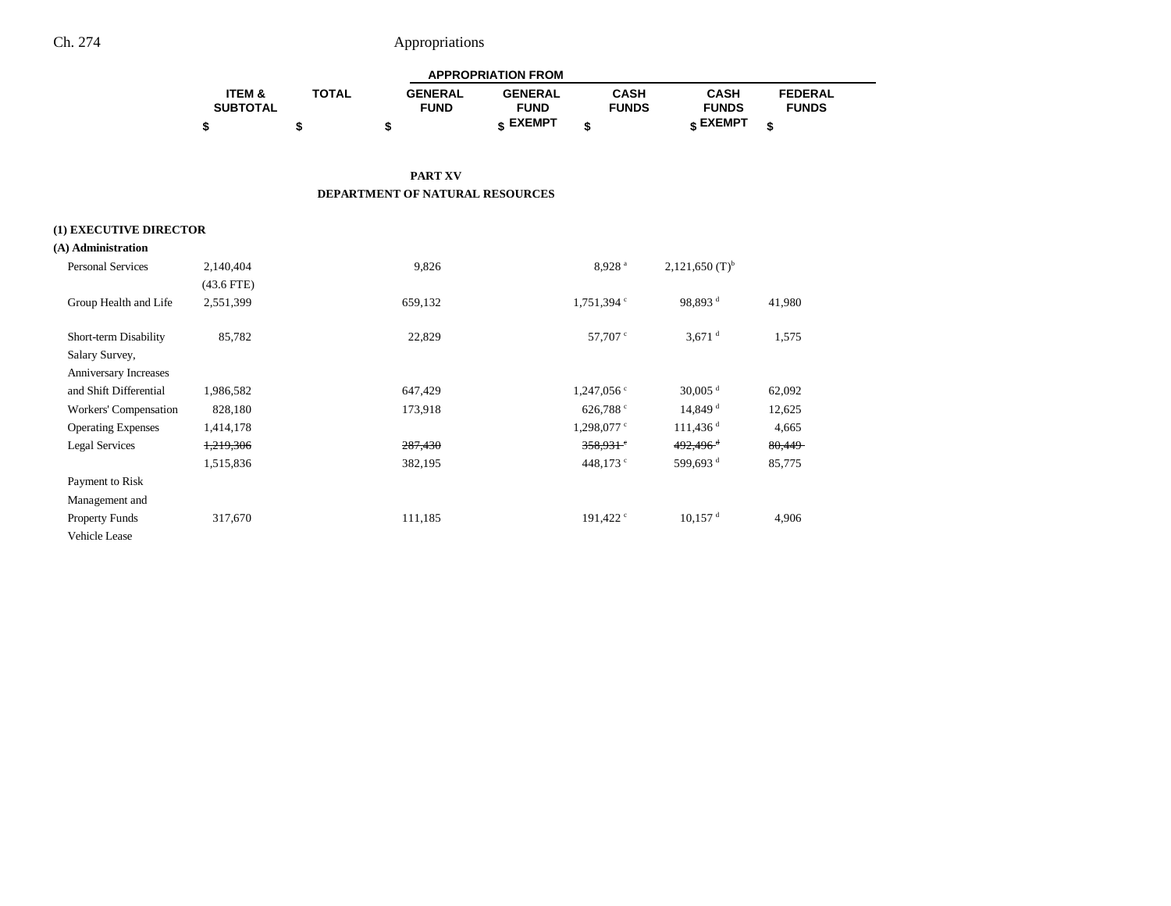| <b>APPROPRIATION FROM</b> |              |                |                |              |              |                |  |  |  |
|---------------------------|--------------|----------------|----------------|--------------|--------------|----------------|--|--|--|
| <b>ITEM &amp;</b>         | <b>TOTAL</b> | <b>GENERAL</b> | <b>GENERAL</b> | CASH         | CASH         | <b>FEDERAL</b> |  |  |  |
| <b>SUBTOTAL</b>           |              | <b>FUND</b>    | <b>FUND</b>    | <b>FUNDS</b> | <b>FUNDS</b> | <b>FUNDS</b>   |  |  |  |
|                           |              |                | c EXEMPT       |              | e EXEMPT ه   |                |  |  |  |

#### **PART XV DEPARTMENT OF NATURAL RESOURCES**

### **(1) EXECUTIVE DIRECTOR**

| (A) Administration        |              |         |                          |                              |        |
|---------------------------|--------------|---------|--------------------------|------------------------------|--------|
| <b>Personal Services</b>  | 2,140,404    | 9,826   | 8.928 <sup>a</sup>       | $2,121,650$ (T) <sup>b</sup> |        |
|                           | $(43.6$ FTE) |         |                          |                              |        |
| Group Health and Life     | 2,551,399    | 659,132 | $1,751,394$ <sup>c</sup> | 98,893 <sup>d</sup>          | 41,980 |
| Short-term Disability     | 85,782       | 22,829  | 57,707 °                 | $3,671$ <sup>d</sup>         | 1,575  |
| Salary Survey,            |              |         |                          |                              |        |
| Anniversary Increases     |              |         |                          |                              |        |
| and Shift Differential    | 1,986,582    | 647,429 | $1,247,056$ c            | $30,005$ <sup>d</sup>        | 62,092 |
| Workers' Compensation     | 828,180      | 173,918 | 626,788 c                | $14,849$ <sup>d</sup>        | 12,625 |
| <b>Operating Expenses</b> | 1,414,178    |         | $1,298,077$ c            | $111,436$ <sup>d</sup>       | 4,665  |
| <b>Legal Services</b>     | 1,219,306    | 287,430 | $358,931$ <sup>e</sup>   | $492,496$ <sup>d</sup>       | 80,449 |
|                           | 1,515,836    | 382,195 | 448,173 $\degree$        | 599.693 <sup>d</sup>         | 85,775 |
| Payment to Risk           |              |         |                          |                              |        |
| Management and            |              |         |                          |                              |        |
| <b>Property Funds</b>     | 317,670      | 111,185 | 191,422 $\degree$        | $10,157$ <sup>d</sup>        | 4,906  |
| Vehicle Lease             |              |         |                          |                              |        |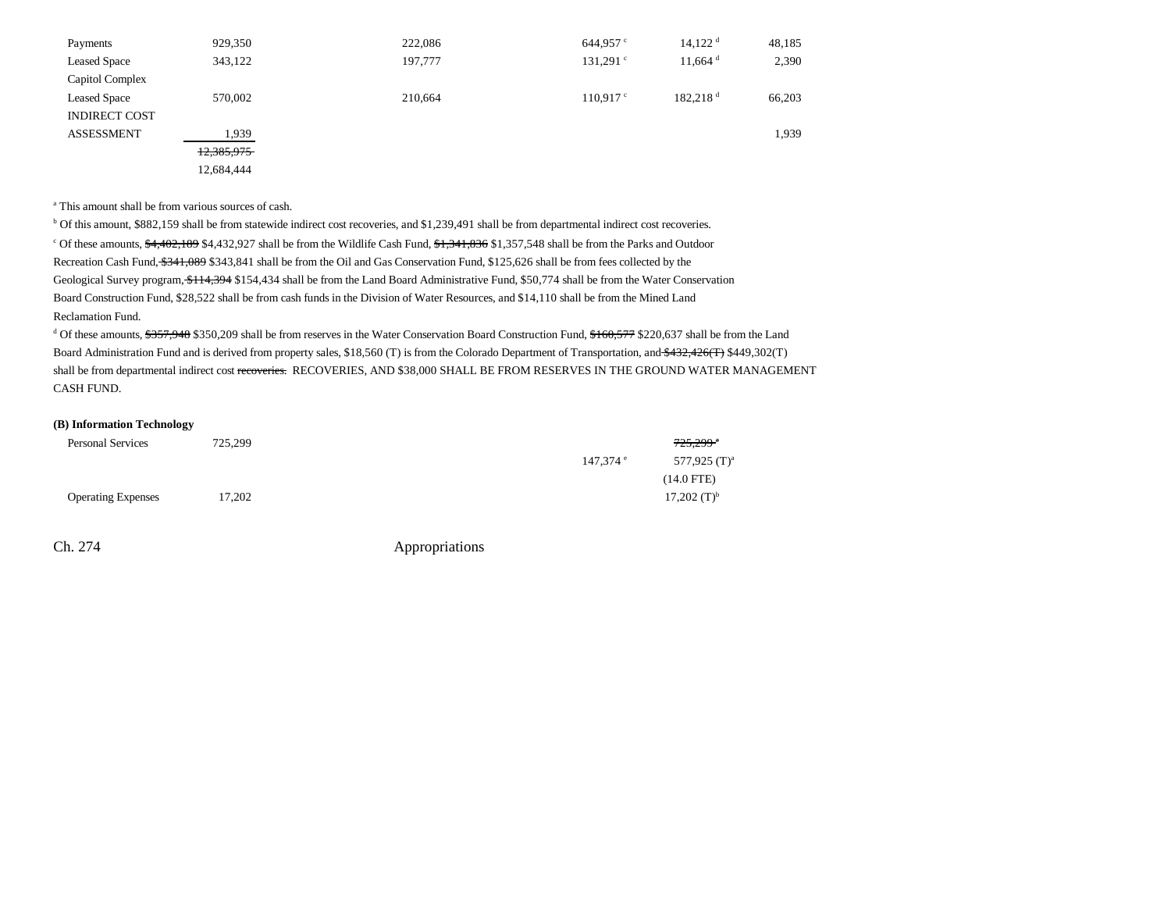| Payments             | 929,350    | 222,086 | 644,957 $\degree$ | $14,122$ <sup>d</sup> | 48,185 |
|----------------------|------------|---------|-------------------|-----------------------|--------|
| <b>Leased Space</b>  | 343,122    | 197,777 | $131,291$ c       | $11,664$ <sup>d</sup> | 2,390  |
| Capitol Complex      |            |         |                   |                       |        |
| <b>Leased Space</b>  | 570,002    | 210,664 | $110.917$ c       | 182.218 <sup>d</sup>  | 66,203 |
| <b>INDIRECT COST</b> |            |         |                   |                       |        |
| <b>ASSESSMENT</b>    | 1,939      |         |                   |                       | 1,939  |
|                      | 12,385,975 |         |                   |                       |        |
|                      | 12,684,444 |         |                   |                       |        |

a This amount shall be from various sources of cash.

b Of this amount, \$882,159 shall be from statewide indirect cost recoveries, and \$1,239,491 shall be from departmental indirect cost recoveries. <sup>c</sup> Of these amounts, <del>\$4,402,189</del> \$4,432,927 shall be from the Wildlife Cash Fund, \$1,341,836 \$1,357,548 shall be from the Parks and Outdoor Recreation Cash Fund, \$341,089 \$343,841 shall be from the Oil and Gas Conservation Fund, \$125,626 shall be from fees collected by the Geological Survey program,  $$114,394$  \$154,434 shall be from the Land Board Administrative Fund, \$50,774 shall be from the Water Conservation Board Construction Fund, \$28,522 shall be from cash funds in the Division of Water Resources, and \$14,110 shall be from the Mined Land Reclamation Fund.

<sup>d</sup> Of these amounts, \$357,948 \$350,209 shall be from reserves in the Water Conservation Board Construction Fund, \$160,577 \$220,637 shall be from the Land Board Administration Fund and is derived from property sales, \$18,560 (T) is from the Colorado Department of Transportation, and \$432,426(T) \$449,302(T) shall be from departmental indirect cost recoveries. RECOVERIES, AND \$38,000 SHALL BE FROM RESERVES IN THE GROUND WATER MANAGEMENT CASH FUND.

#### **(B) Information Technology**

| <b>Personal Services</b>  | 725,299 |                        | $725,299$ <sup>a</sup>    |
|---------------------------|---------|------------------------|---------------------------|
|                           |         | $147.374$ <sup>e</sup> | 577,925 $(T)^a$           |
|                           |         |                        | $(14.0$ FTE)              |
| <b>Operating Expenses</b> | 17,202  |                        | $17,202$ (T) <sup>b</sup> |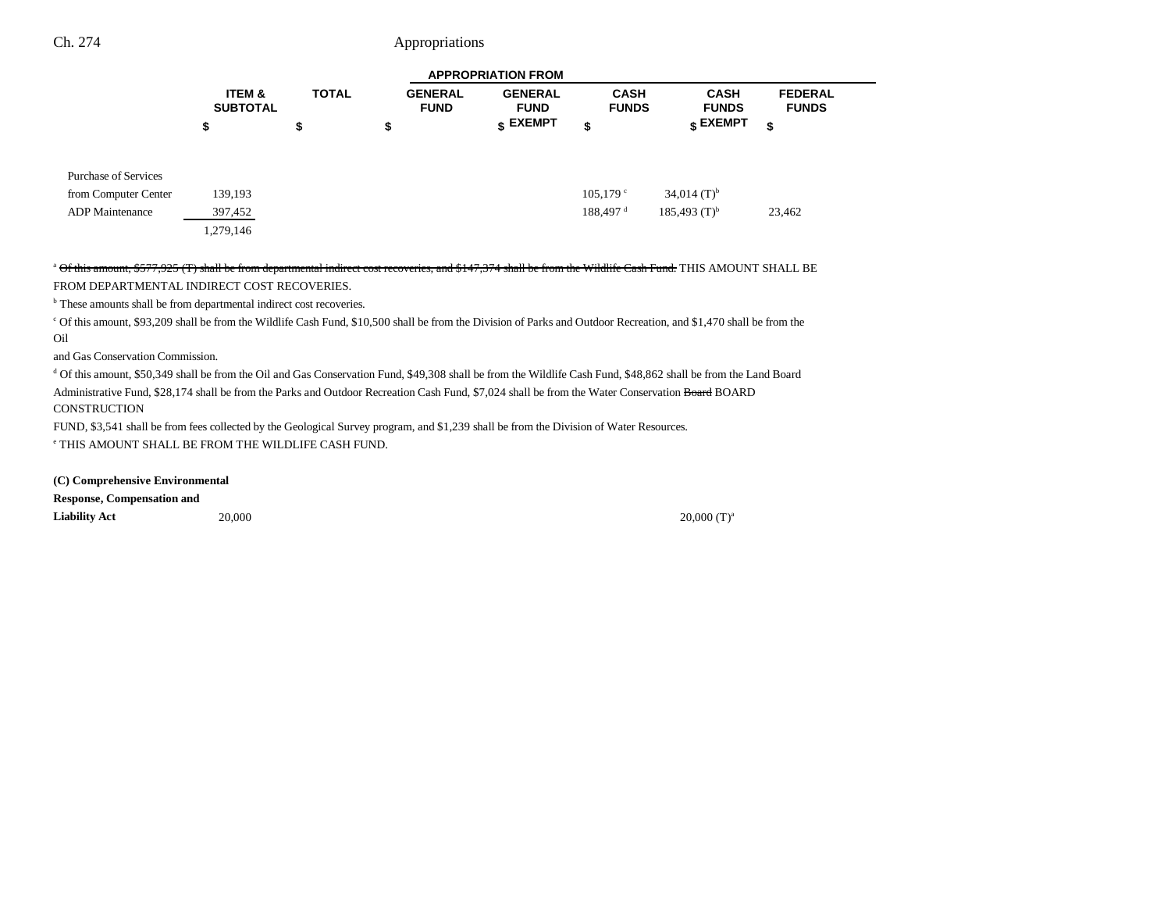|                             |                                      |              |                               | <b>APPROPRIATION FROM</b>     |                             |                               |                                |
|-----------------------------|--------------------------------------|--------------|-------------------------------|-------------------------------|-----------------------------|-------------------------------|--------------------------------|
|                             | <b>ITEM &amp;</b><br><b>SUBTOTAL</b> | <b>TOTAL</b> | <b>GENERAL</b><br><b>FUND</b> | <b>GENERAL</b><br><b>FUND</b> | <b>CASH</b><br><b>FUNDS</b> | <b>CASH</b><br><b>FUNDS</b>   | <b>FEDERAL</b><br><b>FUNDS</b> |
|                             | \$                                   | \$           | \$                            | \$ EXEMPT                     | \$                          | $_{\tiny{\textbf{S}}}$ EXEMPT | \$                             |
| <b>Purchase of Services</b> |                                      |              |                               |                               |                             |                               |                                |
| from Computer Center        | 139,193                              |              |                               |                               | $105,179$ c                 | $34,014$ (T) <sup>b</sup>     |                                |
| <b>ADP</b> Maintenance      | 397,452                              |              |                               |                               | 188,497 <sup>d</sup>        | $185,493$ (T) <sup>b</sup>    | 23,462                         |
|                             | 1,279,146                            |              |                               |                               |                             |                               |                                |

<sup>a</sup> Of this amount, \$577,925 (T) shall be from departmental indirect cost recoveries, and \$147,374 shall be from the Wildlife Cash Fund. THIS AMOUNT SHALL BE FROM DEPARTMENTAL INDIRECT COST RECOVERIES.

b These amounts shall be from departmental indirect cost recoveries.

c Of this amount, \$93,209 shall be from the Wildlife Cash Fund, \$10,500 shall be from the Division of Parks and Outdoor Recreation, and \$1,470 shall be from the Oil

and Gas Conservation Commission.

d Of this amount, \$50,349 shall be from the Oil and Gas Conservation Fund, \$49,308 shall be from the Wildlife Cash Fund, \$48,862 shall be from the Land Board Administrative Fund, \$28,174 shall be from the Parks and Outdoor Recreation Cash Fund, \$7,024 shall be from the Water Conservation Board BOARD CONSTRUCTION

FUND, \$3,541 shall be from fees collected by the Geological Survey program, and \$1,239 shall be from the Division of Water Resources.

e THIS AMOUNT SHALL BE FROM THE WILDLIFE CASH FUND.

**(C) Comprehensive Environmental**

**Response, Compensation and**

**Liability Act** 20,000 20,000 (T)a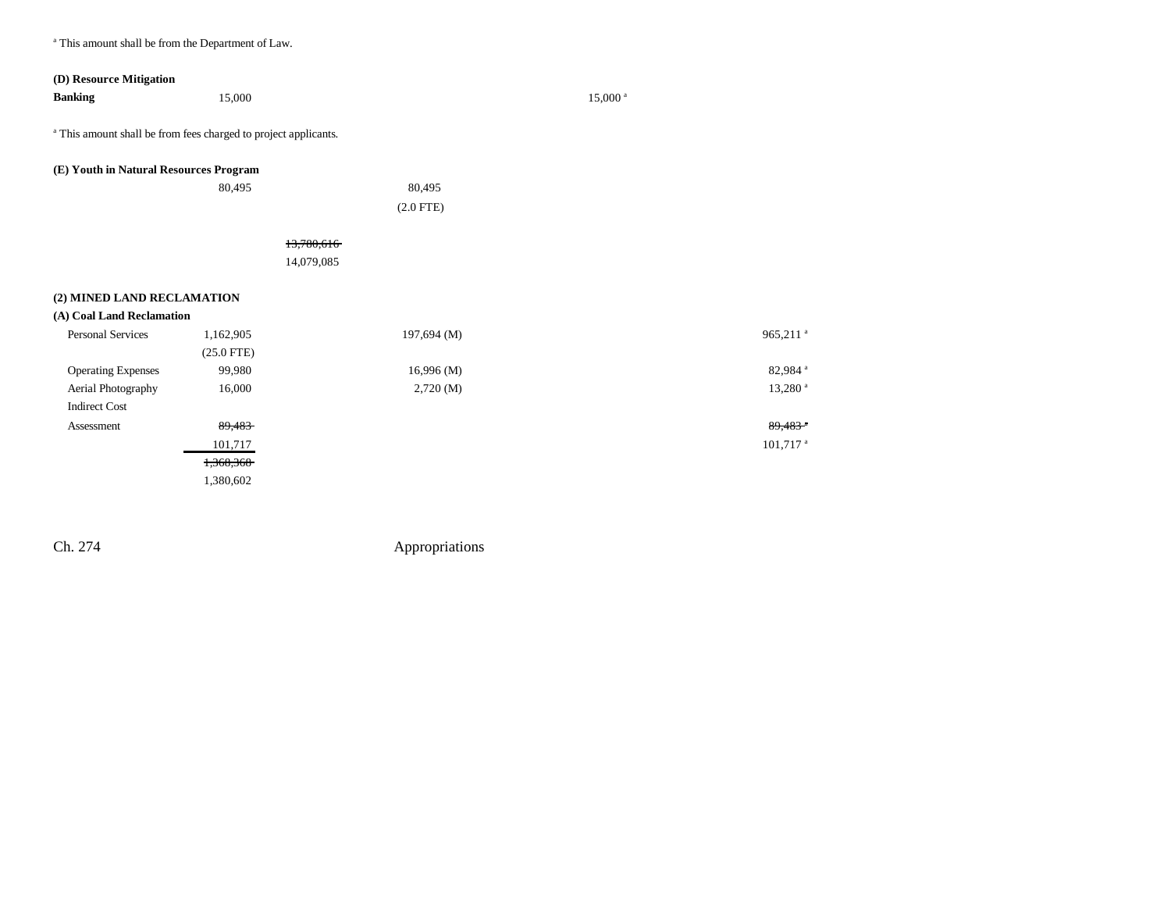a This amount shall be from the Department of Law.

| (D) Resource Mitigation                                                    |              |             |                        |                       |
|----------------------------------------------------------------------------|--------------|-------------|------------------------|-----------------------|
| <b>Banking</b>                                                             | 15,000       |             | 15,000 <sup>a</sup>    |                       |
| <sup>a</sup> This amount shall be from fees charged to project applicants. |              |             |                        |                       |
| (E) Youth in Natural Resources Program                                     |              |             |                        |                       |
|                                                                            | 80,495       | 80,495      |                        |                       |
|                                                                            |              | $(2.0$ FTE) |                        |                       |
|                                                                            |              |             |                        |                       |
|                                                                            |              | 13,780,616  |                        |                       |
|                                                                            |              | 14,079,085  |                        |                       |
|                                                                            |              |             |                        |                       |
| (2) MINED LAND RECLAMATION                                                 |              |             |                        |                       |
| (A) Coal Land Reclamation                                                  |              |             |                        |                       |
| <b>Personal Services</b>                                                   | 1,162,905    | 197,694 (M) | 965,211 <sup>a</sup>   |                       |
|                                                                            | $(25.0$ FTE) |             |                        |                       |
| <b>Operating Expenses</b>                                                  | 99,980       | 16,996(M)   |                        | 82,984 <sup>a</sup>   |
| Aerial Photography                                                         | 16,000       | 2,720(M)    |                        | $13,280$ <sup>a</sup> |
| <b>Indirect Cost</b>                                                       |              |             |                        |                       |
| Assessment                                                                 | 89,483       |             | 89,483                 |                       |
|                                                                            | 101,717      |             | $101,717$ <sup>a</sup> |                       |
|                                                                            | 1,368,368    |             |                        |                       |
|                                                                            | 1,380,602    |             |                        |                       |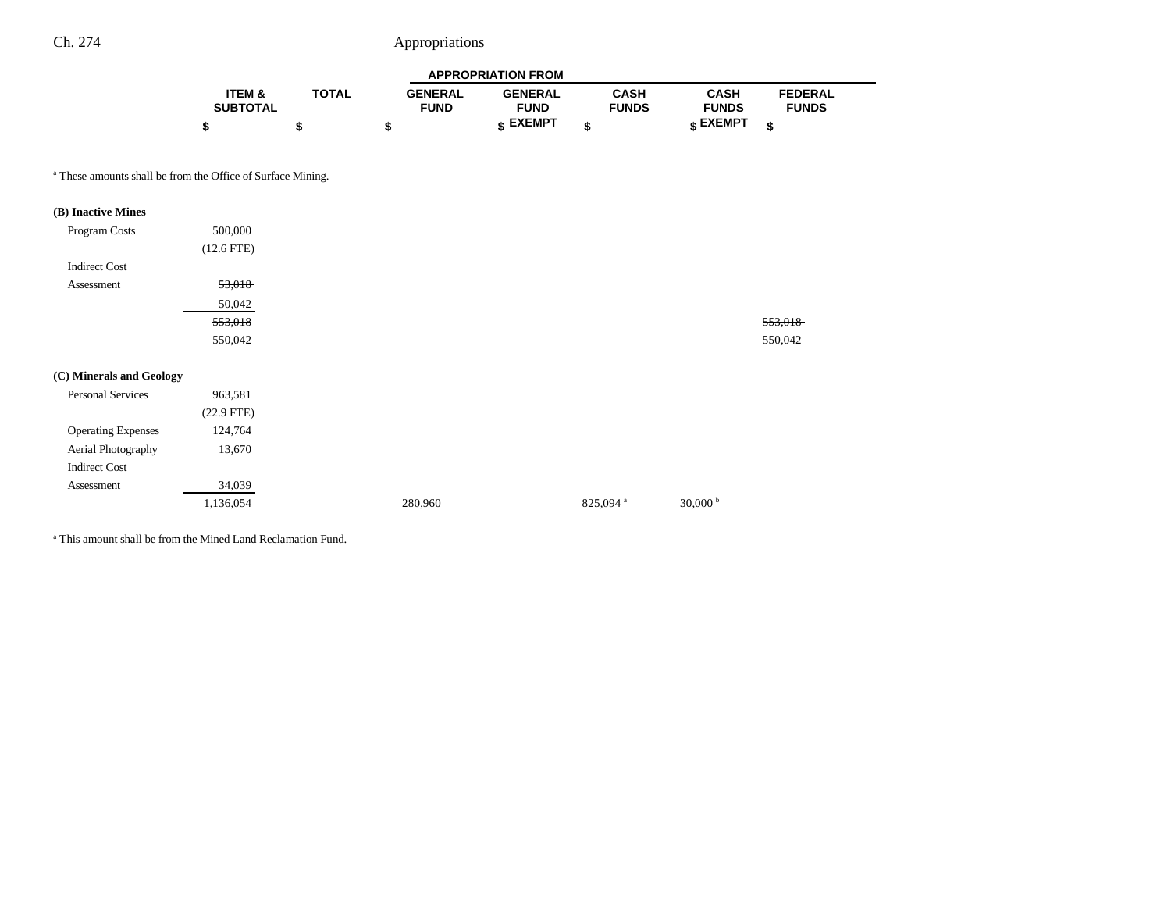| <b>APPROPRIATION FROM</b> |              |                |                 |              |              |                |  |  |  |
|---------------------------|--------------|----------------|-----------------|--------------|--------------|----------------|--|--|--|
| <b>ITEM &amp;</b>         | <b>TOTAL</b> | <b>GENERAL</b> | <b>GENERAL</b>  | CASH         | <b>CASH</b>  | <b>FEDERAL</b> |  |  |  |
| <b>SUBTOTAL</b>           |              | <b>FUND</b>    | <b>FUND</b>     | <b>FUNDS</b> | <b>FUNDS</b> | <b>FUNDS</b>   |  |  |  |
|                           |              |                | <b>« EXEMPT</b> |              | e EXEMPT ہ   |                |  |  |  |

a These amounts shall be from the Office of Surface Mining.

| (B) Inactive Mines        |              |         |                      |                   |
|---------------------------|--------------|---------|----------------------|-------------------|
| Program Costs             | 500,000      |         |                      |                   |
|                           | $(12.6$ FTE) |         |                      |                   |
| <b>Indirect Cost</b>      |              |         |                      |                   |
| Assessment                | 53,018       |         |                      |                   |
|                           | 50,042       |         |                      |                   |
|                           | 553,018      |         |                      |                   |
|                           | 550,042      |         |                      |                   |
|                           |              |         |                      |                   |
| (C) Minerals and Geology  |              |         |                      |                   |
| Personal Services         | 963,581      |         |                      |                   |
|                           | $(22.9$ FTE) |         |                      |                   |
| <b>Operating Expenses</b> | 124,764      |         |                      |                   |
| Aerial Photography        | 13,670       |         |                      |                   |
| <b>Indirect Cost</b>      |              |         |                      |                   |
| Assessment                | 34,039       |         |                      |                   |
|                           | 1,136,054    | 280,960 | 825,094 <sup>a</sup> | 30,000 $^{\rm b}$ |

a This amount shall be from the Mined Land Reclamation Fund.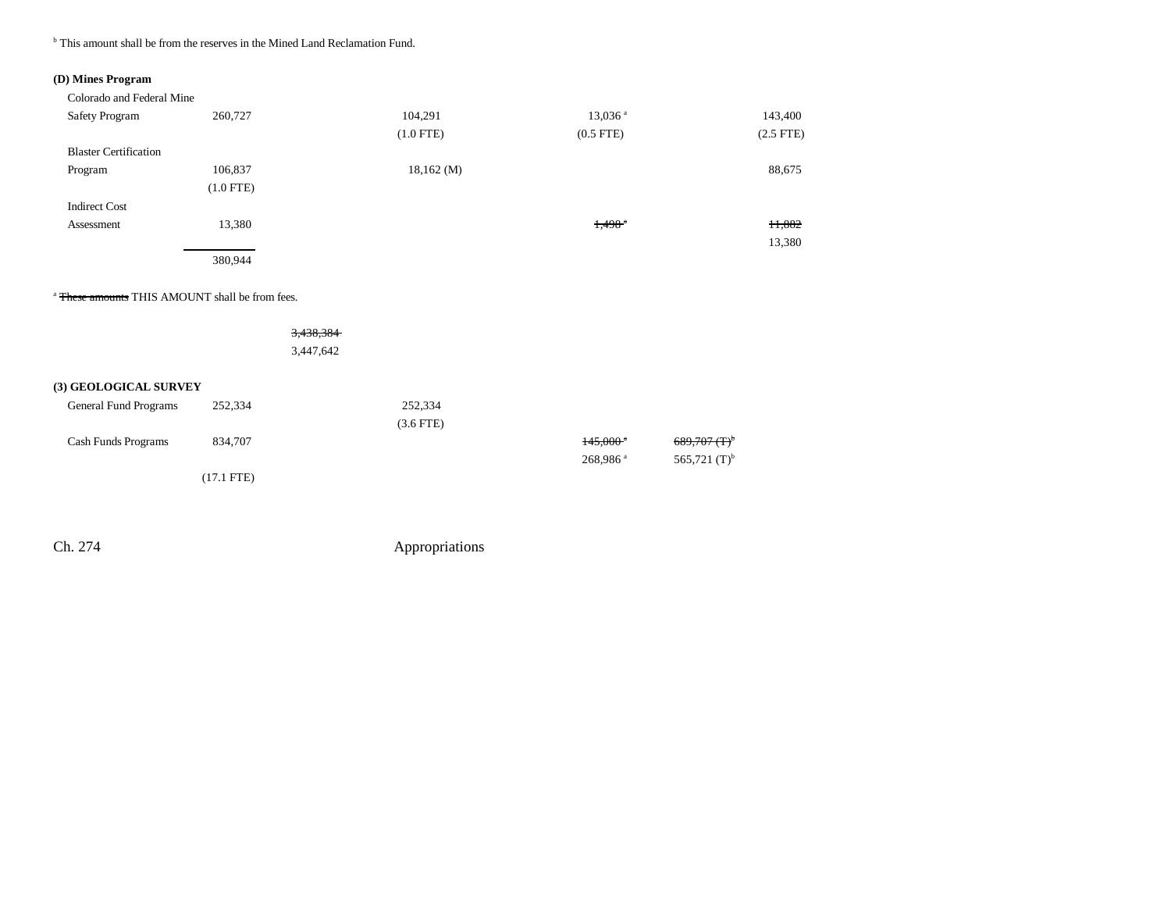<sup>b</sup> This amount shall be from the reserves in the Mined Land Reclamation Fund.

### **(D) Mines Program**

| Colorado and Federal Mine    |             |                |                       |                |
|------------------------------|-------------|----------------|-----------------------|----------------|
| <b>Safety Program</b>        | 260,727     | 104,291        | $13,036$ <sup>a</sup> | 143,400        |
|                              |             | $(1.0$ FTE)    | $(0.5$ FTE)           | $(2.5$ FTE $)$ |
| <b>Blaster Certification</b> |             |                |                       |                |
| Program                      | 106,837     | $18,162 \,(M)$ |                       | 88,675         |
|                              | $(1.0$ FTE) |                |                       |                |
| <b>Indirect Cost</b>         |             |                |                       |                |
| Assessment                   | 13,380      |                | $1,498$ <sup>a</sup>  | 11,882         |
|                              |             |                |                       | 13,380         |
|                              | 380,944     |                |                       |                |

<sup>a</sup> <del>These amounts</del> THIS AMOUNT shall be from fees.

### 3,438,384 3,447,642

### **(3) GEOLOGICAL SURVEY**

| General Fund Programs | 252,334      | 252,334        |                        |                            |
|-----------------------|--------------|----------------|------------------------|----------------------------|
|                       |              | $(3.6$ FTE $)$ |                        |                            |
| Cash Funds Programs   | 834,707      |                | $145.000$ <sup>*</sup> | $689,707$ (T) <sup>b</sup> |
|                       |              |                | $268,986$ <sup>a</sup> | 565,721 $(T)^b$            |
|                       | $(17.1$ FTE) |                |                        |                            |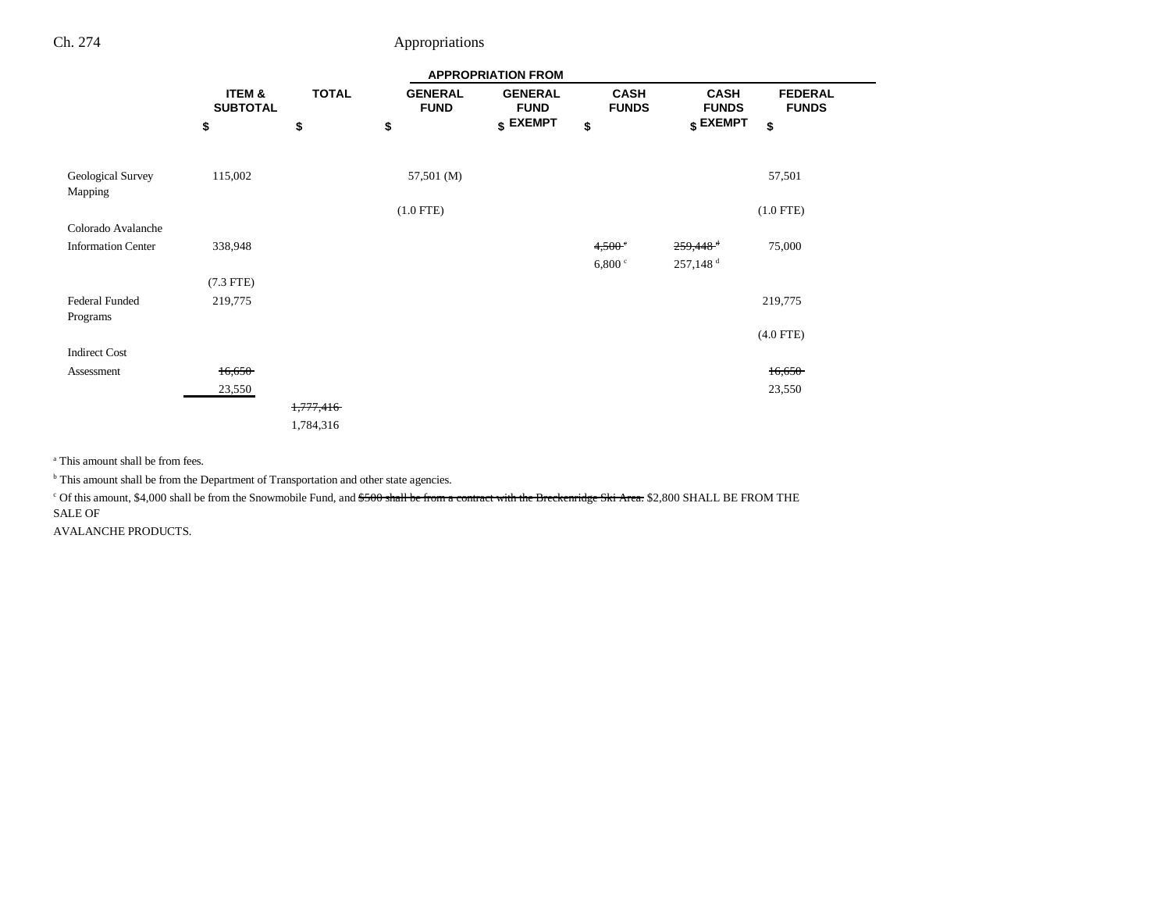|                              |                           |              |                               | <b>APPROPRIATION FROM</b>     |                             |                             |                                |
|------------------------------|---------------------------|--------------|-------------------------------|-------------------------------|-----------------------------|-----------------------------|--------------------------------|
|                              | ITEM &<br><b>SUBTOTAL</b> | <b>TOTAL</b> | <b>GENERAL</b><br><b>FUND</b> | <b>GENERAL</b><br><b>FUND</b> | <b>CASH</b><br><b>FUNDS</b> | <b>CASH</b><br><b>FUNDS</b> | <b>FEDERAL</b><br><b>FUNDS</b> |
|                              | \$                        | \$           | \$                            | $$$ EXEMPT                    | \$                          | $$$ EXEMPT                  | \$                             |
|                              |                           |              |                               |                               |                             |                             |                                |
| Geological Survey<br>Mapping | 115,002                   |              | 57,501 (M)                    |                               |                             |                             | 57,501                         |
|                              |                           |              | $(1.0$ FTE)                   |                               |                             |                             | $(1.0$ FTE)                    |
| Colorado Avalanche           |                           |              |                               |                               |                             |                             |                                |
| <b>Information Center</b>    | 338,948                   |              |                               |                               | 4,500°                      | $259,448$ <sup>+</sup>      | 75,000                         |
|                              |                           |              |                               |                               | 6,800 °                     | 257,148 <sup>d</sup>        |                                |
|                              | $(7.3$ FTE)               |              |                               |                               |                             |                             |                                |
| Federal Funded               | 219,775                   |              |                               |                               |                             |                             | 219,775                        |
| Programs                     |                           |              |                               |                               |                             |                             |                                |
|                              |                           |              |                               |                               |                             |                             | $(4.0$ FTE)                    |
| <b>Indirect Cost</b>         |                           |              |                               |                               |                             |                             |                                |
| Assessment                   | 16,650                    |              |                               |                               |                             |                             | 16,650                         |
|                              | 23,550                    |              |                               |                               |                             |                             | 23,550                         |
|                              |                           | 1,777,416    |                               |                               |                             |                             |                                |
|                              |                           | 1,784,316    |                               |                               |                             |                             |                                |

a This amount shall be from fees.

 $^{\rm b}$  This amount shall be from the Department of Transportation and other state agencies.

<sup>c</sup> Of this amount, \$4,000 shall be from the Snowmobile Fund, and \$500 shall be from a contract with the Breckenridge Ski Area. \$2,800 SHALL BE FROM THE SALE OF

AVALANCHE PRODUCTS.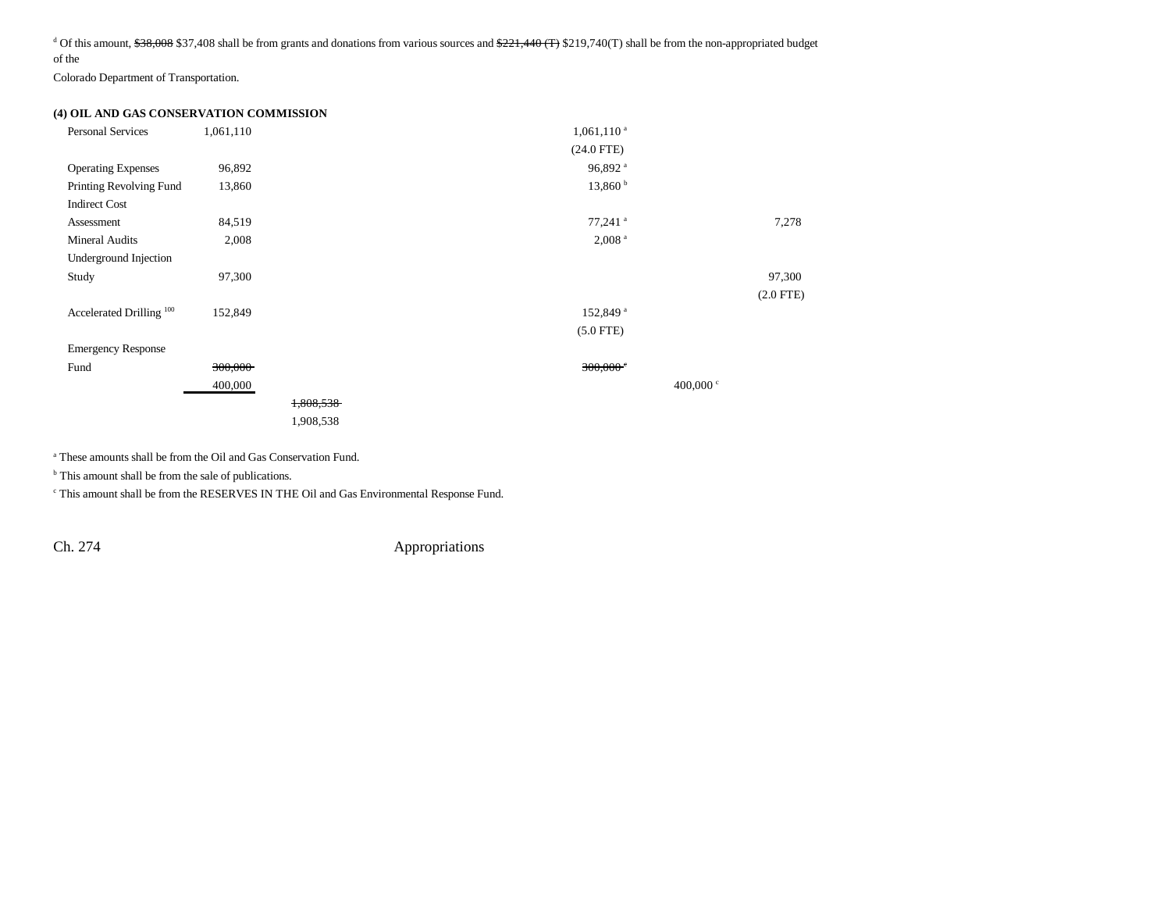<sup>d</sup> Of this amount,  $$38,008$  \$37,408 shall be from grants and donations from various sources and  $$221,440$  (T) \$219,740(T) shall be from the non-appropriated budget of the

Colorado Department of Transportation.

### **(4) OIL AND GAS CONSERVATION COMMISSION**

| <b>Personal Services</b>            | 1,061,110 |           | $1,061,110^{a}$        |                   |             |
|-------------------------------------|-----------|-----------|------------------------|-------------------|-------------|
|                                     |           |           | $(24.0$ FTE)           |                   |             |
| <b>Operating Expenses</b>           | 96,892    |           | 96,892 <sup>a</sup>    |                   |             |
| Printing Revolving Fund             | 13,860    |           | 13,860 <sup>b</sup>    |                   |             |
| <b>Indirect Cost</b>                |           |           |                        |                   |             |
| Assessment                          | 84,519    |           | $77,241$ <sup>a</sup>  |                   | 7,278       |
| <b>Mineral Audits</b>               | 2,008     |           | $2,008$ <sup>a</sup>   |                   |             |
| Underground Injection               |           |           |                        |                   |             |
| Study                               | 97,300    |           |                        |                   | 97,300      |
|                                     |           |           |                        |                   | $(2.0$ FTE) |
| Accelerated Drilling <sup>100</sup> | 152,849   |           | 152,849 <sup>a</sup>   |                   |             |
|                                     |           |           | $(5.0$ FTE)            |                   |             |
| <b>Emergency Response</b>           |           |           |                        |                   |             |
| Fund                                | 300,000   |           | $300,000$ <sup>c</sup> |                   |             |
|                                     | 400,000   |           |                        | 400,000 $\degree$ |             |
|                                     |           | 1,808,538 |                        |                   |             |
|                                     |           | 1,908,538 |                        |                   |             |
|                                     |           |           |                        |                   |             |

a These amounts shall be from the Oil and Gas Conservation Fund.

<sup>b</sup> This amount shall be from the sale of publications.

c This amount shall be from the RESERVES IN THE Oil and Gas Environmental Response Fund.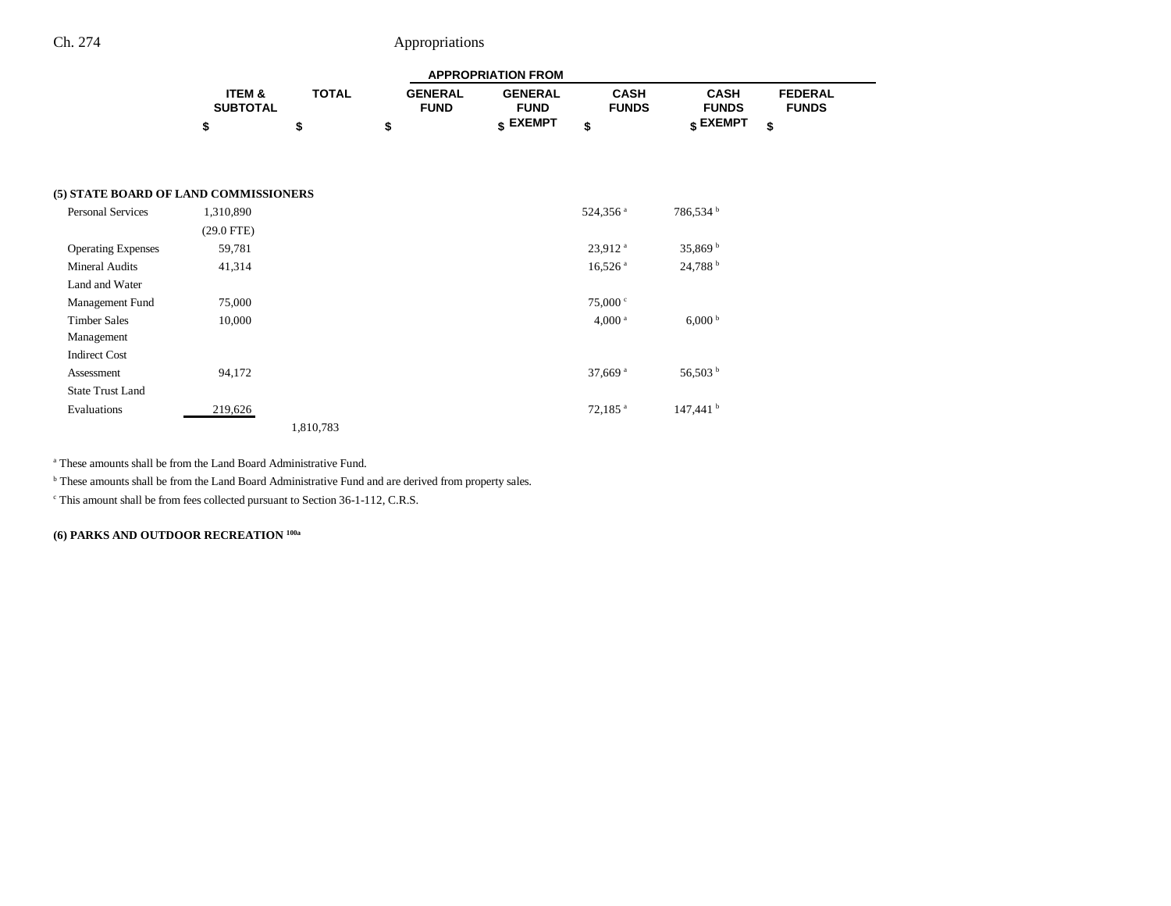| <b>APPROPRIATION FROM</b> |              |                |                 |              |              |                |  |
|---------------------------|--------------|----------------|-----------------|--------------|--------------|----------------|--|
| <b>ITEM &amp;</b>         | <b>TOTAL</b> | <b>GENERAL</b> | <b>GENERAL</b>  | <b>CASH</b>  | <b>CASH</b>  | <b>FEDERAL</b> |  |
| <b>SUBTOTAL</b>           |              | <b>FUND</b>    | <b>FUND</b>     | <b>FUNDS</b> | <b>FUNDS</b> | <b>FUNDS</b>   |  |
|                           |              |                | <b>« EXEMPT</b> |              | EXEMPT ۽     |                |  |

--

### **(5) STATE BOARD OF LAND COMMISSIONERS**

| <b>Personal Services</b>  | 1,310,890    |           |  | 524,356 <sup>a</sup>  | 786,534 <sup>b</sup> |
|---------------------------|--------------|-----------|--|-----------------------|----------------------|
|                           | $(29.0$ FTE) |           |  |                       |                      |
| <b>Operating Expenses</b> | 59,781       |           |  | $23,912$ <sup>a</sup> | 35,869 $^{\rm b}$    |
| <b>Mineral Audits</b>     | 41,314       |           |  | $16,526$ <sup>a</sup> | 24,788 <sup>b</sup>  |
| Land and Water            |              |           |  |                       |                      |
| Management Fund           | 75,000       |           |  | 75,000 °              |                      |
| <b>Timber Sales</b>       | 10,000       |           |  | 4,000 <sup>a</sup>    | $6,000^{\mathrm{b}}$ |
| Management                |              |           |  |                       |                      |
| <b>Indirect Cost</b>      |              |           |  |                       |                      |
| Assessment                | 94,172       |           |  | 37,669 $a$            | 56,503 <sup>b</sup>  |
| <b>State Trust Land</b>   |              |           |  |                       |                      |
| Evaluations               | 219,626      |           |  | $72,185$ <sup>a</sup> | 147,441 <sup>b</sup> |
|                           |              | 1,810,783 |  |                       |                      |

a These amounts shall be from the Land Board Administrative Fund.

<sup>b</sup> These amounts shall be from the Land Board Administrative Fund and are derived from property sales.

c This amount shall be from fees collected pursuant to Section 36-1-112, C.R.S.

**(6) PARKS AND OUTDOOR RECREATION 100a**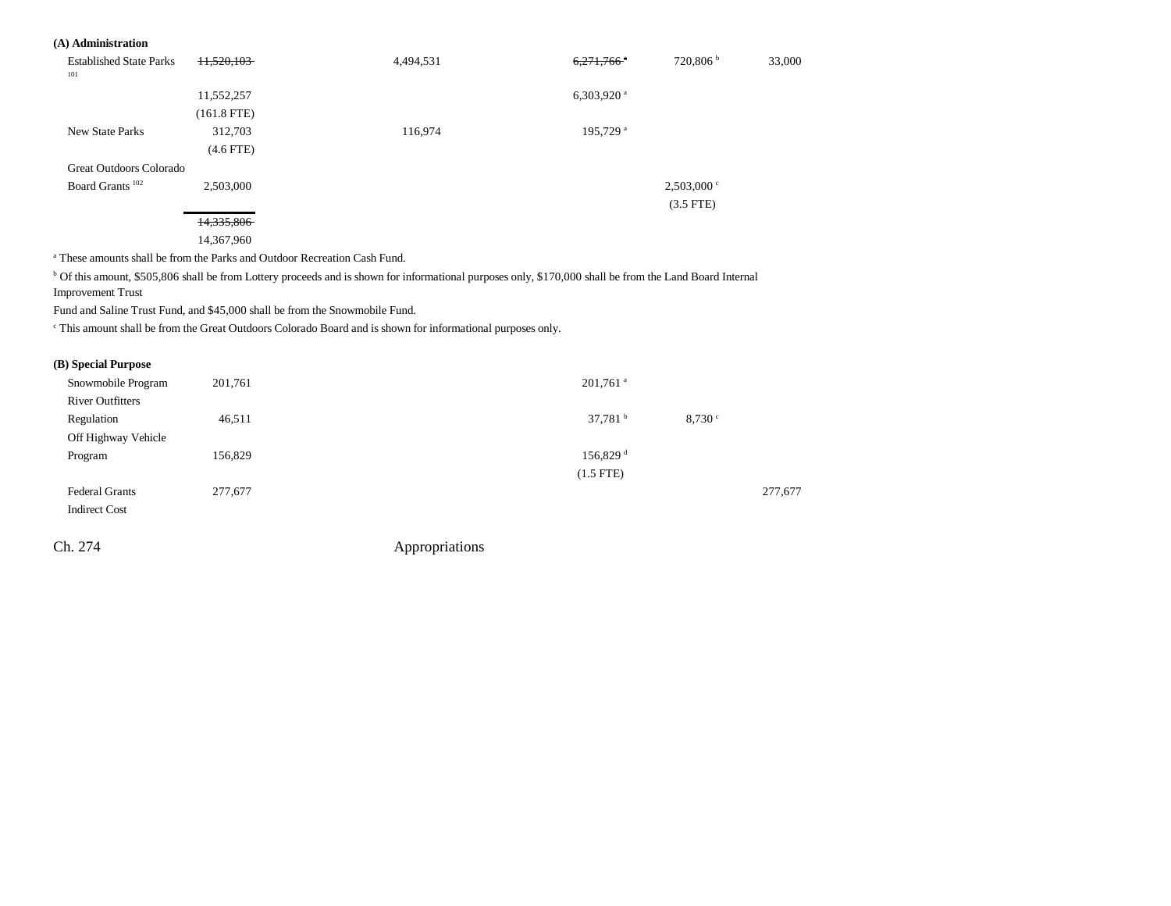#### **(A) Administration**

| <b>Established State Parks</b><br>101 | 11,520,103    | 4,494,531 | $6,271,766$ <sup>a</sup> | 720,806 <sup>b</sup> | 33,000 |
|---------------------------------------|---------------|-----------|--------------------------|----------------------|--------|
|                                       | 11,552,257    |           | 6,303,920 $a$            |                      |        |
|                                       | $(161.8$ FTE) |           |                          |                      |        |
| <b>New State Parks</b>                | 312,703       | 116,974   | 195,729 <sup>a</sup>     |                      |        |
|                                       | $(4.6$ FTE)   |           |                          |                      |        |
| Great Outdoors Colorado               |               |           |                          |                      |        |
| Board Grants <sup>102</sup>           | 2,503,000     |           |                          | $2,503,000$ c        |        |
|                                       |               |           |                          | $(3.5$ FTE)          |        |
|                                       | 14,335,806    |           |                          |                      |        |

14,367,960

a These amounts shall be from the Parks and Outdoor Recreation Cash Fund.

<sup>b</sup> Of this amount, \$505,806 shall be from Lottery proceeds and is shown for informational purposes only, \$170,000 shall be from the Land Board Internal Improvement Trust

Fund and Saline Trust Fund, and \$45,000 shall be from the Snowmobile Fund.

c This amount shall be from the Great Outdoors Colorado Board and is shown for informational purposes only.

#### **(B) Special Purpose**

| Snowmobile Program      | 201,761 | $201,761$ <sup>a</sup>      |         |
|-------------------------|---------|-----------------------------|---------|
| <b>River Outfitters</b> |         |                             |         |
| Regulation              | 46,511  | 37,781 $^{\rm b}$<br>8,730° |         |
| Off Highway Vehicle     |         |                             |         |
| Program                 | 156,829 | $156,829$ <sup>d</sup>      |         |
|                         |         | $(1.5$ FTE)                 |         |
| <b>Federal Grants</b>   | 277,677 |                             | 277,677 |
| <b>Indirect Cost</b>    |         |                             |         |
|                         |         |                             |         |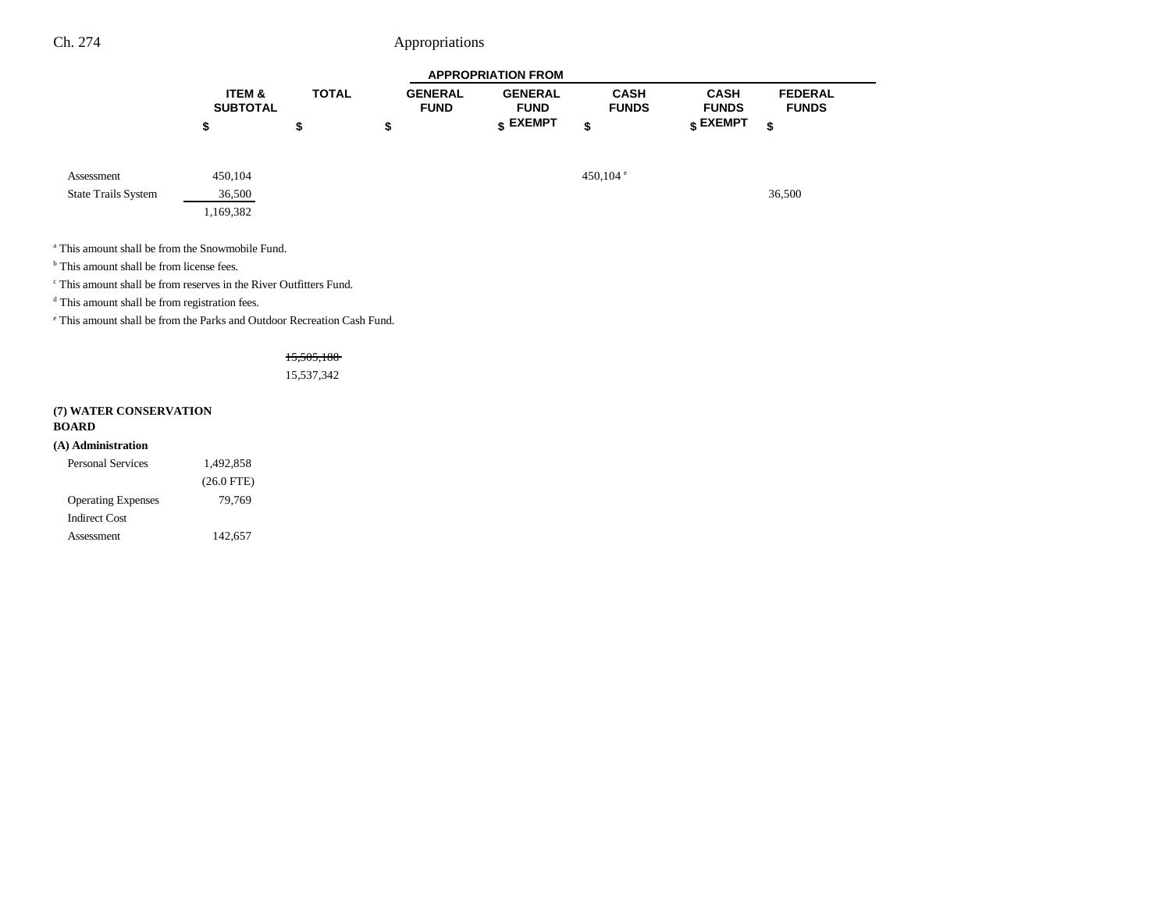|                            | <b>APPROPRIATION FROM</b> |              |                               |                               |                             |                             |                                |
|----------------------------|---------------------------|--------------|-------------------------------|-------------------------------|-----------------------------|-----------------------------|--------------------------------|
|                            | ITEM &<br><b>SUBTOTAL</b> | <b>TOTAL</b> | <b>GENERAL</b><br><b>FUND</b> | <b>GENERAL</b><br><b>FUND</b> | <b>CASH</b><br><b>FUNDS</b> | <b>CASH</b><br><b>FUNDS</b> | <b>FEDERAL</b><br><b>FUNDS</b> |
|                            | \$                        | \$           | \$                            | $s$ EXEMPT                    | \$                          | $\frac{1}{3}$ EXEMPT        | \$                             |
| Assessment                 | 450,104                   |              |                               |                               | 450,104 $^{\circ}$          |                             |                                |
| <b>State Trails System</b> | 36,500                    |              |                               |                               |                             |                             | 36,500                         |
|                            | 1,169,382                 |              |                               |                               |                             |                             |                                |

a This amount shall be from the Snowmobile Fund.

<sup>b</sup> This amount shall be from license fees.

c This amount shall be from reserves in the River Outfitters Fund.

<sup>d</sup> This amount shall be from registration fees.

e This amount shall be from the Parks and Outdoor Recreation Cash Fund.

15,505,188

15,537,342

### **(7) WATER CONSERVATION**

#### **BOARD**

#### **(A) Administration**

| <b>Personal Services</b>  | 1,492,858    |  |  |
|---------------------------|--------------|--|--|
|                           | $(26.0$ FTE) |  |  |
| <b>Operating Expenses</b> | 79,769       |  |  |
| Indirect Cost             |              |  |  |
| Assessment                | 142,657      |  |  |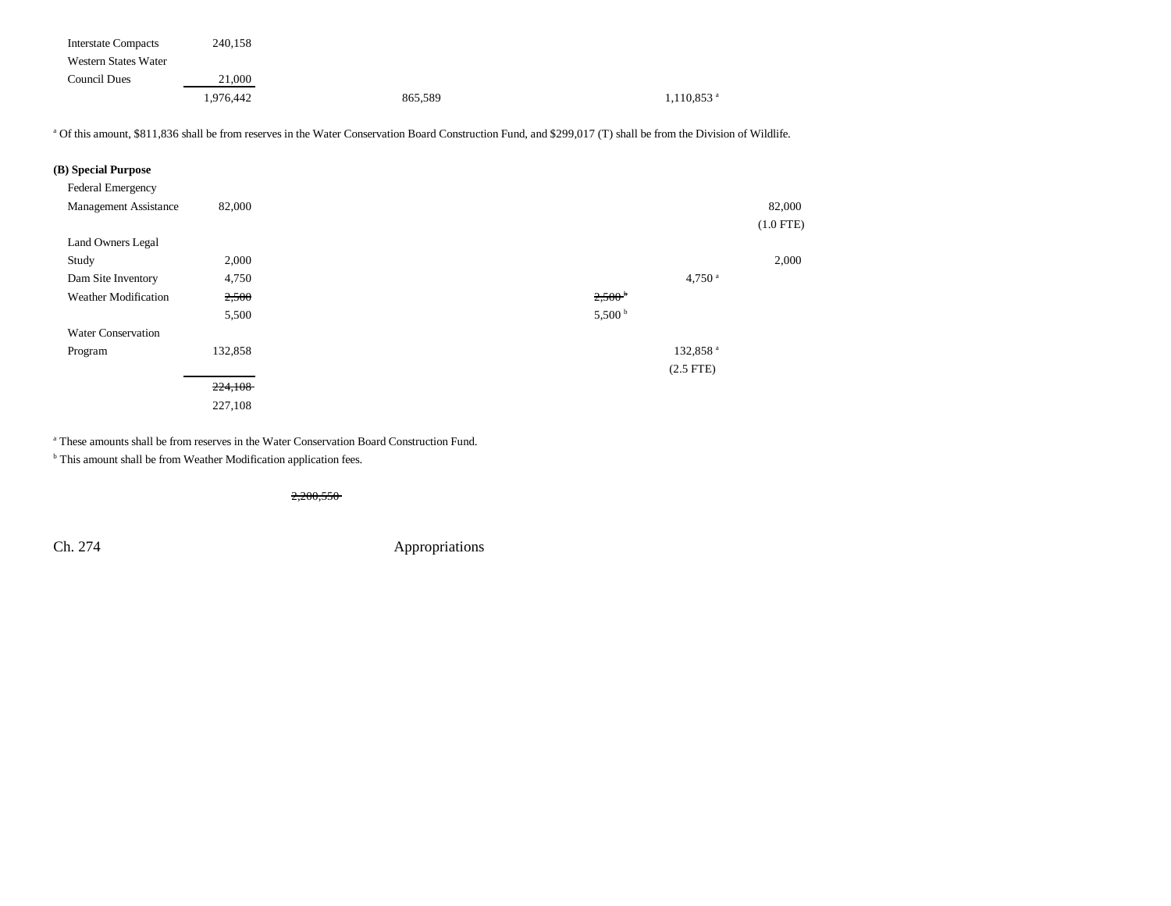| <b>Interstate Compacts</b> | 240,158   |         |                          |
|----------------------------|-----------|---------|--------------------------|
| Western States Water       |           |         |                          |
| Council Dues               | 21,000    |         |                          |
|                            | 1.976.442 | 865,589 | $1,110,853$ <sup>a</sup> |

<sup>a</sup> Of this amount, \$811,836 shall be from reserves in the Water Conservation Board Construction Fund, and \$299,017 (T) shall be from the Division of Wildlife.

| (B) Special Purpose          |         |                      |             |
|------------------------------|---------|----------------------|-------------|
| Federal Emergency            |         |                      |             |
| <b>Management Assistance</b> | 82,000  |                      | 82,000      |
|                              |         |                      | $(1.0$ FTE) |
| Land Owners Legal            |         |                      |             |
| Study                        | 2,000   |                      | 2,000       |
| Dam Site Inventory           | 4,750   | $4,750$ <sup>a</sup> |             |
| <b>Weather Modification</b>  | 2,500   | 2,500 <sup>b</sup>   |             |
|                              | 5,500   | 5,500 <sup>b</sup>   |             |
| <b>Water Conservation</b>    |         |                      |             |
| Program                      | 132,858 | 132,858 <sup>a</sup> |             |
|                              |         | $(2.5$ FTE)          |             |
|                              | 224,108 |                      |             |
|                              | 227,108 |                      |             |

a These amounts shall be from reserves in the Water Conservation Board Construction Fund.

<sup>b</sup> This amount shall be from Weather Modification application fees.

2,200,550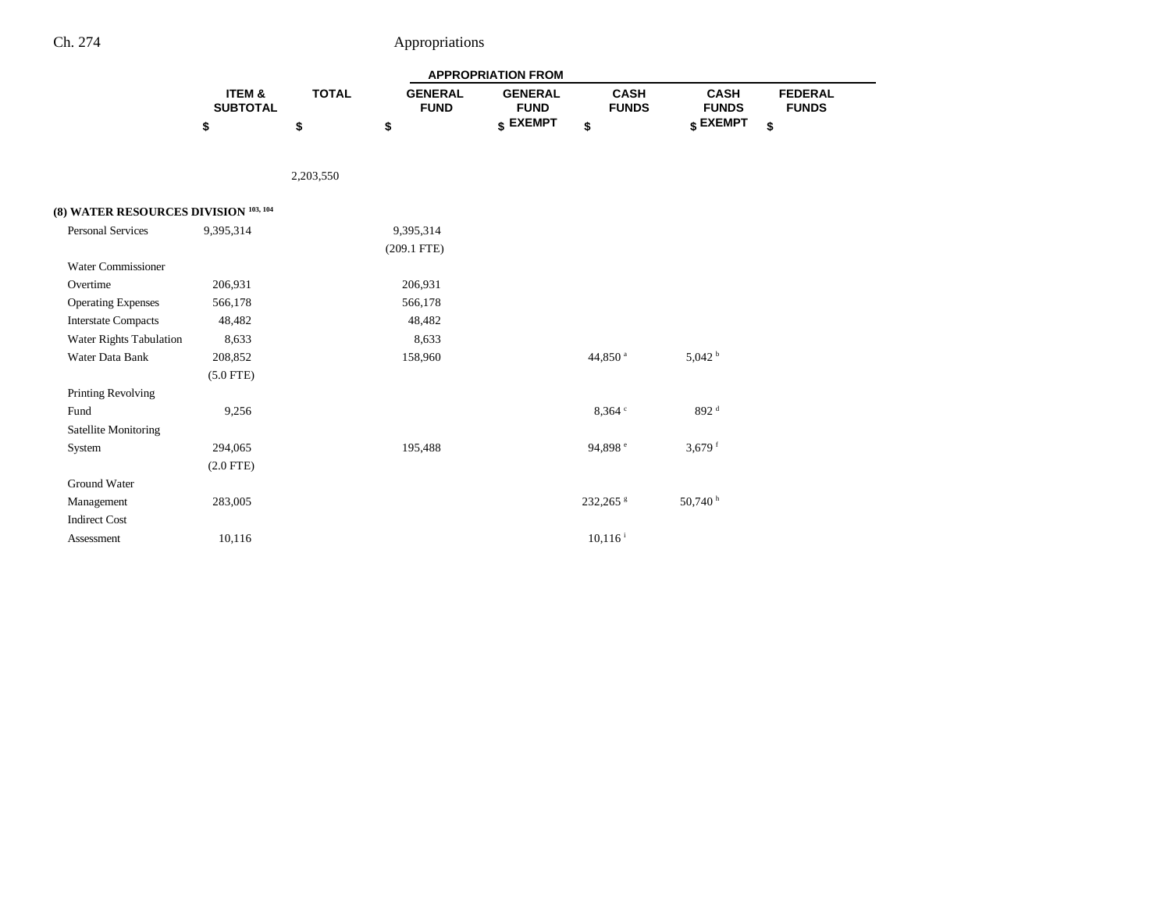|                                       |                                      |              |                               | <b>APPROPRIATION FROM</b>     |                             |                             |                                |
|---------------------------------------|--------------------------------------|--------------|-------------------------------|-------------------------------|-----------------------------|-----------------------------|--------------------------------|
|                                       | <b>ITEM &amp;</b><br><b>SUBTOTAL</b> | <b>TOTAL</b> | <b>GENERAL</b><br><b>FUND</b> | <b>GENERAL</b><br><b>FUND</b> | <b>CASH</b><br><b>FUNDS</b> | <b>CASH</b><br><b>FUNDS</b> | <b>FEDERAL</b><br><b>FUNDS</b> |
|                                       | \$                                   | \$           | \$                            | \$ EXEMPT                     | \$                          | \$ EXEMPT                   | \$                             |
|                                       |                                      | 2,203,550    |                               |                               |                             |                             |                                |
| (8) WATER RESOURCES DIVISION 103, 104 |                                      |              |                               |                               |                             |                             |                                |
| <b>Personal Services</b>              | 9,395,314                            |              | 9,395,314                     |                               |                             |                             |                                |
|                                       |                                      |              | $(209.1$ FTE)                 |                               |                             |                             |                                |
| Water Commissioner                    |                                      |              |                               |                               |                             |                             |                                |
| Overtime                              | 206,931                              |              | 206,931                       |                               |                             |                             |                                |
| <b>Operating Expenses</b>             | 566,178                              |              | 566,178                       |                               |                             |                             |                                |
| <b>Interstate Compacts</b>            | 48,482                               |              | 48,482                        |                               |                             |                             |                                |
| Water Rights Tabulation               | 8,633                                |              | 8,633                         |                               |                             |                             |                                |
| Water Data Bank                       | 208,852                              |              | 158,960                       |                               | 44,850 <sup>a</sup>         | 5,042 h                     |                                |
|                                       | $(5.0$ FTE)                          |              |                               |                               |                             |                             |                                |
| Printing Revolving                    |                                      |              |                               |                               |                             |                             |                                |
| Fund                                  | 9,256                                |              |                               |                               | 8.364c                      | 892 <sup>d</sup>            |                                |
| <b>Satellite Monitoring</b>           |                                      |              |                               |                               |                             |                             |                                |
| System                                | 294,065                              |              | 195,488                       |                               | 94,898 <sup>e</sup>         | 3,679 $f$                   |                                |
|                                       | $(2.0$ FTE)                          |              |                               |                               |                             |                             |                                |
| Ground Water                          |                                      |              |                               |                               |                             |                             |                                |
| Management                            | 283,005                              |              |                               |                               | 232,265 \$                  | 50,740h                     |                                |
| <b>Indirect Cost</b>                  |                                      |              |                               |                               |                             |                             |                                |
| Assessment                            | 10,116                               |              |                               |                               | $10,116$ <sup>i</sup>       |                             |                                |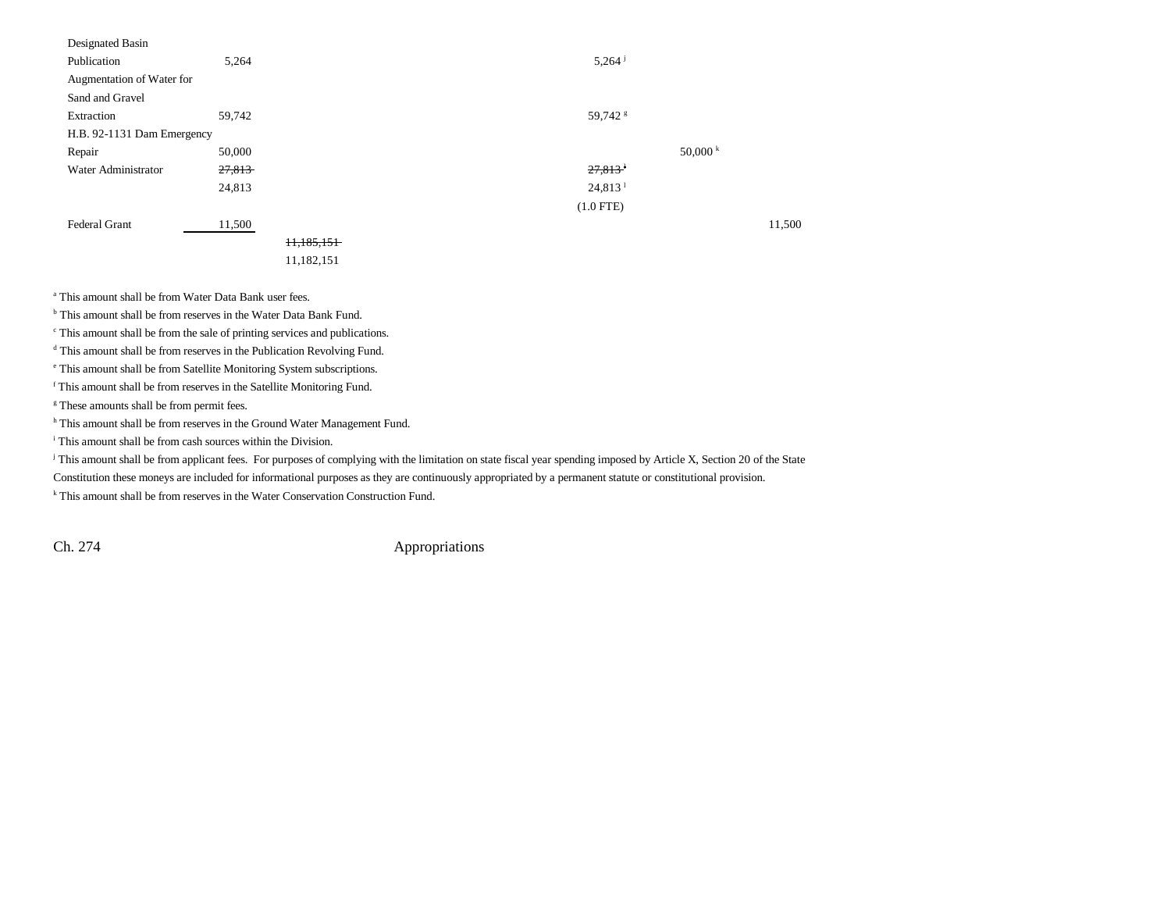| Designated Basin           |        |            |                     |          |        |
|----------------------------|--------|------------|---------------------|----------|--------|
| Publication                | 5,264  |            | 5,264               |          |        |
| Augmentation of Water for  |        |            |                     |          |        |
| Sand and Gravel            |        |            |                     |          |        |
| Extraction                 | 59,742 |            | 59,742 <sup>s</sup> |          |        |
| H.B. 92-1131 Dam Emergency |        |            |                     |          |        |
| Repair                     | 50,000 |            |                     | 50,000 k |        |
| Water Administrator        | 27,813 |            | 27,813              |          |        |
|                            | 24,813 |            | 24,813 <sup>1</sup> |          |        |
|                            |        |            | $(1.0$ FTE)         |          |        |
| <b>Federal Grant</b>       | 11,500 |            |                     |          | 11,500 |
|                            |        | 11,185,151 |                     |          |        |
|                            |        | 11,182,151 |                     |          |        |
|                            |        |            |                     |          |        |

a This amount shall be from Water Data Bank user fees.

b This amount shall be from reserves in the Water Data Bank Fund.

c This amount shall be from the sale of printing services and publications.

d This amount shall be from reserves in the Publication Revolving Fund.

e This amount shall be from Satellite Monitoring System subscriptions.

f This amount shall be from reserves in the Satellite Monitoring Fund.

<sup>g</sup> These amounts shall be from permit fees.

<sup>h</sup> This amount shall be from reserves in the Ground Water Management Fund.

i This amount shall be from cash sources within the Division.

<sup>j</sup> This amount shall be from applicant fees. For purposes of complying with the limitation on state fiscal year spending imposed by Article X, Section 20 of the State

Constitution these moneys are included for informational purposes as they are continuously appropriated by a permanent statute or constitutional provision.

k This amount shall be from reserves in the Water Conservation Construction Fund.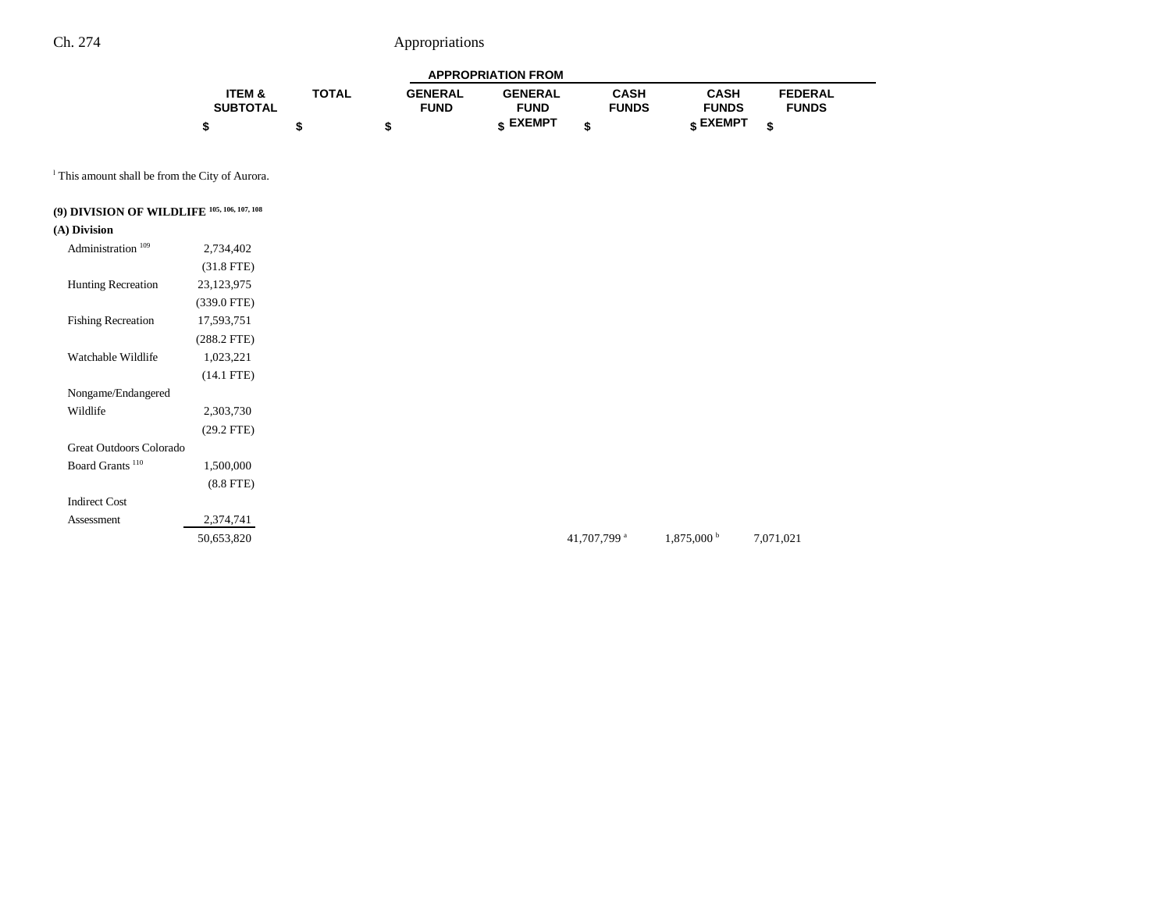| <b>APPROPRIATION FROM</b> |              |                |                |              |                 |                |  |
|---------------------------|--------------|----------------|----------------|--------------|-----------------|----------------|--|
| ITEM &                    | <b>TOTAL</b> | <b>GENERAL</b> | <b>GENERAL</b> | <b>CASH</b>  | <b>CASH</b>     | <b>FEDERAL</b> |  |
| <b>SUBTOTAL</b>           |              | <b>FUND</b>    | <b>FUND</b>    | <b>FUNDS</b> | <b>FUNDS</b>    | <b>FUNDS</b>   |  |
|                           |              |                | <b>EXEMPT</b>  |              | <b>« EXEMPT</b> | ¢              |  |

<sup>1</sup> This amount shall be from the City of Aurora.

# **(9) DIVISION OF WILDLIFE 105, 106, 107, 108**

### **(A) Division**

| Administration <sup>109</sup> | 2,734,402      |  |
|-------------------------------|----------------|--|
|                               | $(31.8$ FTE)   |  |
| <b>Hunting Recreation</b>     | 23,123,975     |  |
|                               | $(339.0$ FTE)  |  |
| <b>Fishing Recreation</b>     | 17,593,751     |  |
|                               | $(288.2$ FTE)  |  |
| Watchable Wildlife            | 1,023,221      |  |
|                               | $(14.1$ FTE)   |  |
| Nongame/Endangered            |                |  |
| Wildlife                      | 2,303,730      |  |
|                               | $(29.2$ FTE)   |  |
| Great Outdoors Colorado       |                |  |
| Board Grants <sup>110</sup>   | 1,500,000      |  |
|                               | $(8.8$ FTE $)$ |  |
| <b>Indirect Cost</b>          |                |  |
| Assessment                    | 2,374,741      |  |
|                               | 50,653,820     |  |

41,707,799 a  $1,875,000$  b  $7,071,021$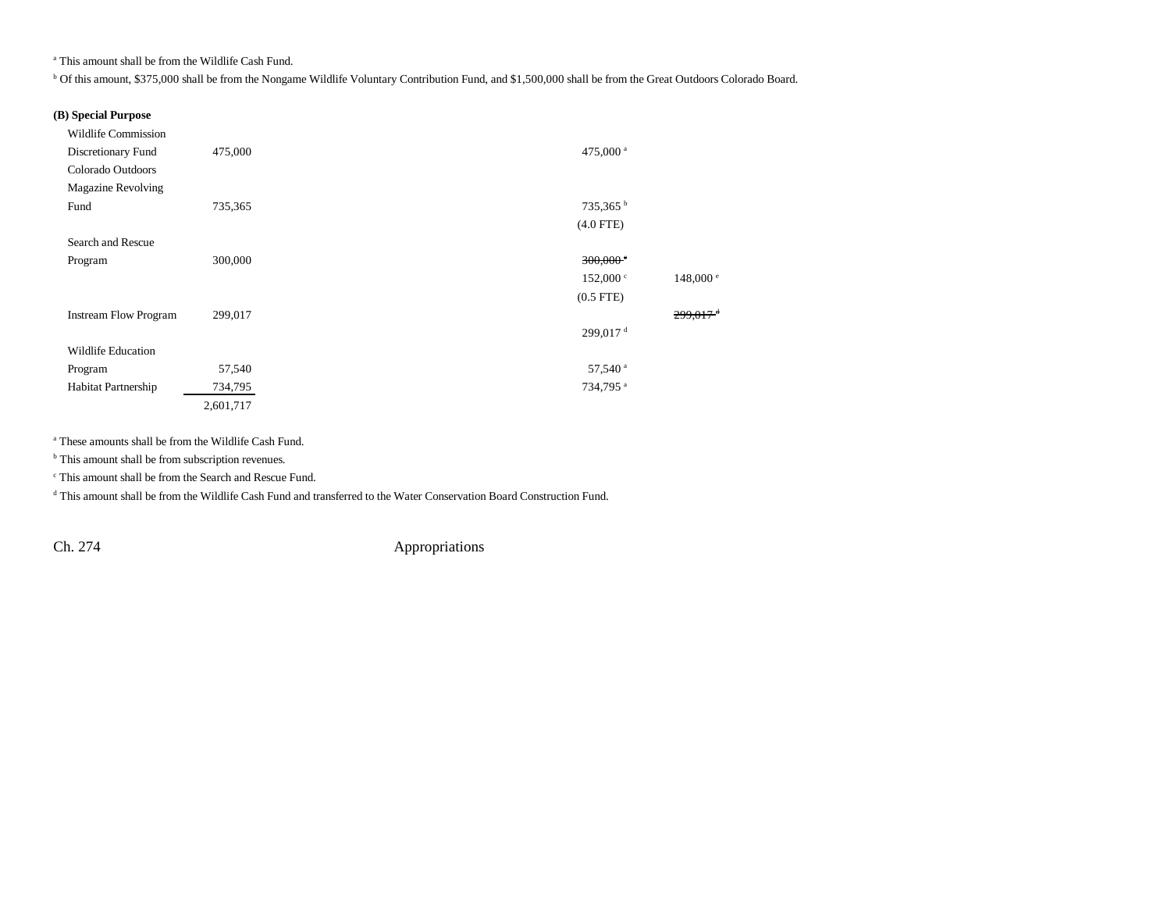a This amount shall be from the Wildlife Cash Fund.

b Of this amount, \$375,000 shall be from the Nongame Wildlife Voluntary Contribution Fund, and \$1,500,000 shall be from the Great Outdoors Colorado Board.

### **(B) Special Purpose**

| <b>Wildlife Commission</b>   |           |                        |                        |
|------------------------------|-----------|------------------------|------------------------|
| Discretionary Fund           | 475,000   | 475,000 <sup>a</sup>   |                        |
| Colorado Outdoors            |           |                        |                        |
| <b>Magazine Revolving</b>    |           |                        |                        |
| Fund                         | 735,365   | 735,365 <sup>b</sup>   |                        |
|                              |           | $(4.0$ FTE)            |                        |
| Search and Rescue            |           |                        |                        |
| Program                      | 300,000   | $300,000$ <sup>c</sup> |                        |
|                              |           | $152,000 \text{°}$     | 148,000 e              |
|                              |           | $(0.5$ FTE $)$         |                        |
| <b>Instream Flow Program</b> | 299,017   |                        | $299.017$ <sup>d</sup> |
|                              |           | 299,017 <sup>d</sup>   |                        |
| Wildlife Education           |           |                        |                        |
| Program                      | 57,540    | 57,540 <sup>a</sup>    |                        |
| Habitat Partnership          | 734,795   | 734,795 <sup>a</sup>   |                        |
|                              | 2,601,717 |                        |                        |

a These amounts shall be from the Wildlife Cash Fund.

<sup>b</sup> This amount shall be from subscription revenues.

c This amount shall be from the Search and Rescue Fund.

d This amount shall be from the Wildlife Cash Fund and transferred to the Water Conservation Board Construction Fund.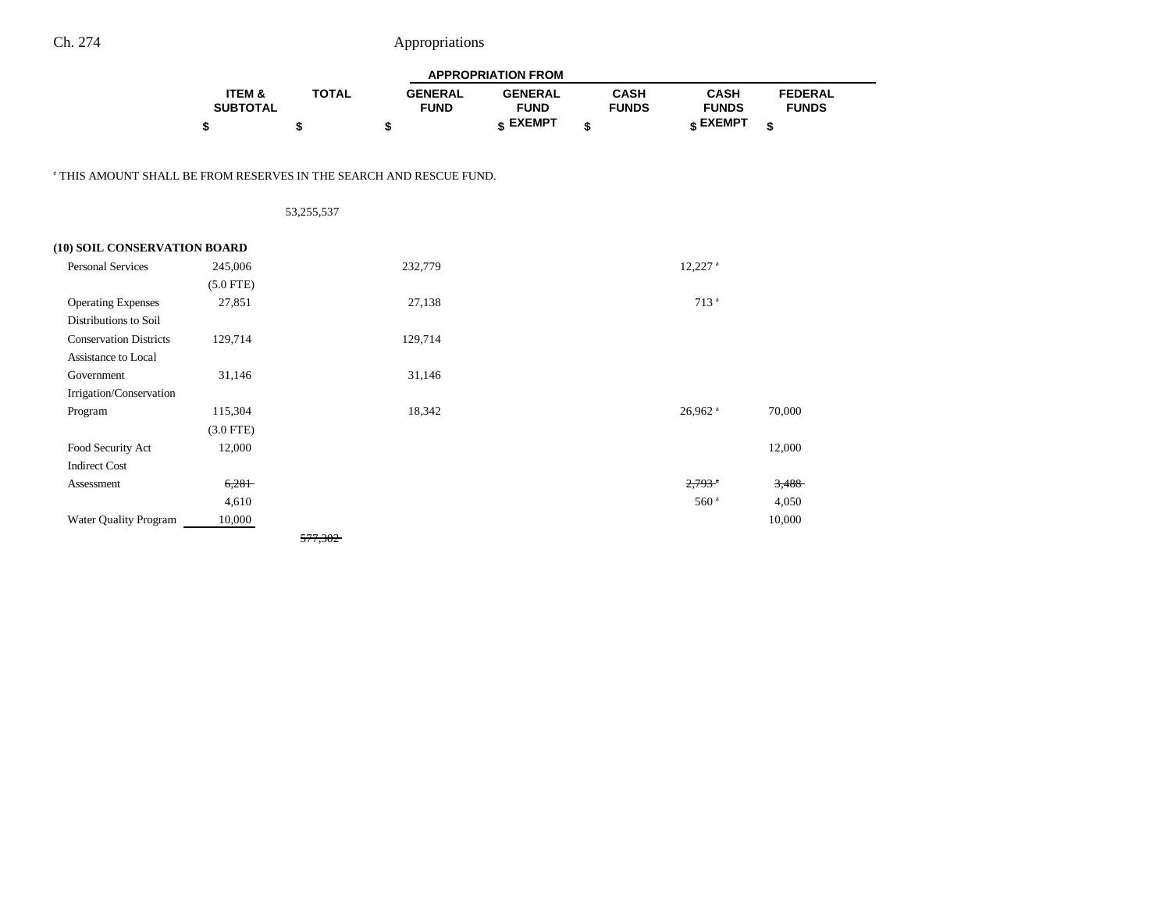$\overline{\phantom{0}}$ 

|                                                                                | <b>APPROPRIATION FROM</b> |              |                               |                               |                             |                             |                                |  |
|--------------------------------------------------------------------------------|---------------------------|--------------|-------------------------------|-------------------------------|-----------------------------|-----------------------------|--------------------------------|--|
|                                                                                | ITEM &<br><b>SUBTOTAL</b> | <b>TOTAL</b> | <b>GENERAL</b><br><b>FUND</b> | <b>GENERAL</b><br><b>FUND</b> | <b>CASH</b><br><b>FUNDS</b> | <b>CASH</b><br><b>FUNDS</b> | <b>FEDERAL</b><br><b>FUNDS</b> |  |
|                                                                                | \$                        | \$           | \$                            | \$ EXEMPT                     | \$                          | \$ EXEMPT                   | \$                             |  |
|                                                                                |                           |              |                               |                               |                             |                             |                                |  |
| <sup>e</sup> THIS AMOUNT SHALL BE FROM RESERVES IN THE SEARCH AND RESCUE FUND. |                           |              |                               |                               |                             |                             |                                |  |
|                                                                                |                           | 53,255,537   |                               |                               |                             |                             |                                |  |
| (10) SOIL CONSERVATION BOARD                                                   |                           |              |                               |                               |                             |                             |                                |  |
| <b>Personal Services</b>                                                       | 245,006                   |              | 232,779                       |                               |                             | $12,227$ <sup>a</sup>       |                                |  |
|                                                                                | $(5.0$ FTE)               |              |                               |                               |                             |                             |                                |  |
| <b>Operating Expenses</b>                                                      | 27,851                    |              | 27,138                        |                               |                             | 713 <sup>a</sup>            |                                |  |
| Distributions to Soil                                                          |                           |              |                               |                               |                             |                             |                                |  |
| <b>Conservation Districts</b>                                                  | 129,714                   |              | 129,714                       |                               |                             |                             |                                |  |
| Assistance to Local                                                            |                           |              |                               |                               |                             |                             |                                |  |
| Government                                                                     | 31,146                    |              | 31,146                        |                               |                             |                             |                                |  |
| Irrigation/Conservation                                                        |                           |              |                               |                               |                             |                             |                                |  |
| Program                                                                        | 115,304                   |              | 18,342                        |                               |                             | 26,962 <sup>a</sup>         | 70,000                         |  |
|                                                                                | $(3.0$ FTE)               |              |                               |                               |                             |                             |                                |  |
| Food Security Act                                                              | 12,000                    |              |                               |                               |                             |                             | 12,000                         |  |
| <b>Indirect Cost</b>                                                           |                           |              |                               |                               |                             |                             |                                |  |
| Assessment                                                                     | 6,281                     |              |                               |                               |                             | $2.793$ <sup>a</sup>        | 3,488                          |  |
|                                                                                | 4,610                     |              |                               |                               |                             | 560 <sup>a</sup>            | 4,050                          |  |
| Water Quality Program                                                          | 10,000                    |              |                               |                               |                             |                             | 10,000                         |  |
|                                                                                |                           | 577,302      |                               |                               |                             |                             |                                |  |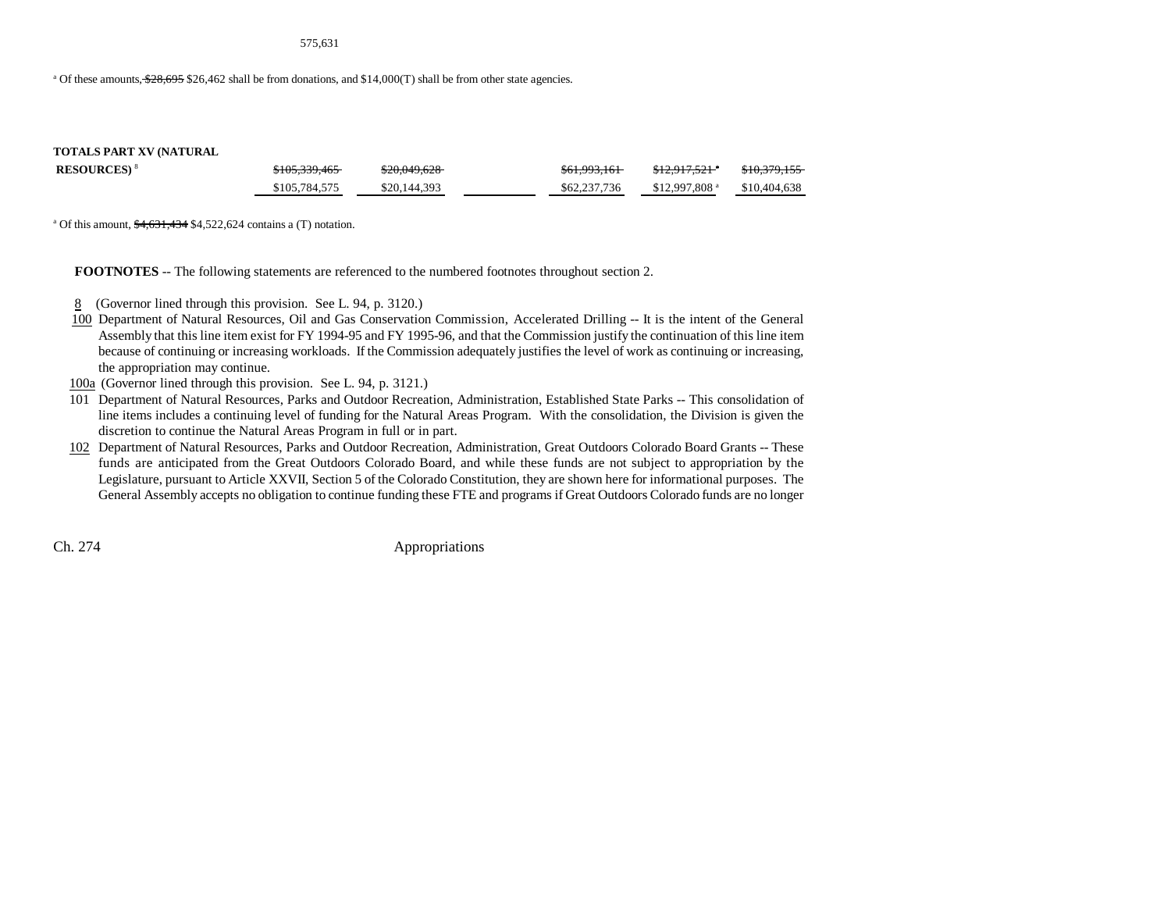#### 575,631

<sup>a</sup> Of these amounts,  $\frac{28,695}{26,695}$  \$26,462 shall be from donations, and \$14,000(T) shall be from other state agencies.

#### **TOTALS PART XV (NATURAL**

| <b>RESOURCES</b> ) <sup>8</sup> | \$105,339,465 | 00000000<br>520.049.028 | 0/1.0021/1<br>501,995,101 | 0.120175218<br>312.917.321 | $0.10.270$ $155$<br>510,379,133 |
|---------------------------------|---------------|-------------------------|---------------------------|----------------------------|---------------------------------|
|                                 | \$105,784,575 | \$20,144,393            | \$62,237,736              | $$12.997.808$ <sup>a</sup> | \$10,404,638                    |

<sup>a</sup> Of this amount,  $\frac{$4,631,434}{$4,522,624}$  contains a (T) notation.

**FOOTNOTES** -- The following statements are referenced to the numbered footnotes throughout section 2.

- 8 (Governor lined through this provision. See L. 94, p. 3120.)
- 100 Department of Natural Resources, Oil and Gas Conservation Commission, Accelerated Drilling -- It is the intent of the General Assembly that this line item exist for FY 1994-95 and FY 1995-96, and that the Commission justify the continuation of this line item because of continuing or increasing workloads. If the Commission adequately justifies the level of work as continuing or increasing, the appropriation may continue.
- 100a (Governor lined through this provision. See L. 94, p. 3121.)
- 101 Department of Natural Resources, Parks and Outdoor Recreation, Administration, Established State Parks -- This consolidation of line items includes a continuing level of funding for the Natural Areas Program. With the consolidation, the Division is given the discretion to continue the Natural Areas Program in full or in part.
- 102 Department of Natural Resources, Parks and Outdoor Recreation, Administration, Great Outdoors Colorado Board Grants -- These funds are anticipated from the Great Outdoors Colorado Board, and while these funds are not subject to appropriation by the Legislature, pursuant to Article XXVII, Section 5 of the Colorado Constitution, they are shown here for informational purposes. The General Assembly accepts no obligation to continue funding these FTE and programs if Great Outdoors Colorado funds are no longer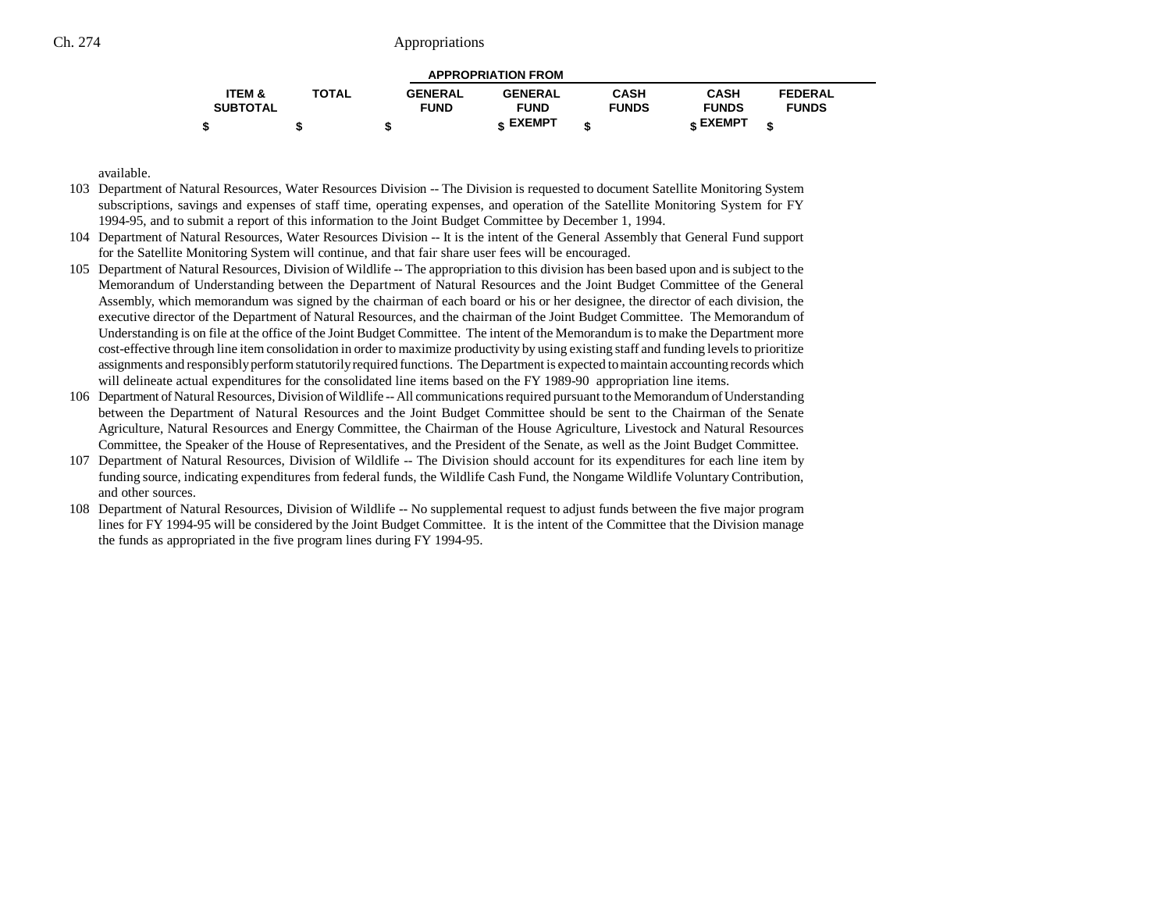| <b>APPROPRIATION FROM</b> |              |                |                |              |                 |                |  |  |  |
|---------------------------|--------------|----------------|----------------|--------------|-----------------|----------------|--|--|--|
| <b>ITEM &amp;</b>         | <b>TOTAL</b> | <b>GENERAL</b> | <b>GENERAL</b> | <b>CASH</b>  | <b>CASH</b>     | <b>FEDERAL</b> |  |  |  |
| <b>SUBTOTAL</b>           |              | <b>FUND</b>    | <b>FUND</b>    | <b>FUNDS</b> | <b>FUNDS</b>    | <b>FUNDS</b>   |  |  |  |
|                           |              |                | c EXEMPT       |              | <b>« EXEMPT</b> |                |  |  |  |

available.

- 103 Department of Natural Resources, Water Resources Division -- The Division is requested to document Satellite Monitoring System subscriptions, savings and expenses of staff time, operating expenses, and operation of the Satellite Monitoring System for FY 1994-95, and to submit a report of this information to the Joint Budget Committee by December 1, 1994.
- 104 Department of Natural Resources, Water Resources Division -- It is the intent of the General Assembly that General Fund support for the Satellite Monitoring System will continue, and that fair share user fees will be encouraged.
- 105 Department of Natural Resources, Division of Wildlife -- The appropriation to this division has been based upon and is subject to the Memorandum of Understanding between the Department of Natural Resources and the Joint Budget Committee of the General Assembly, which memorandum was signed by the chairman of each board or his or her designee, the director of each division, the executive director of the Department of Natural Resources, and the chairman of the Joint Budget Committee. The Memorandum of Understanding is on file at the office of the Joint Budget Committee. The intent of the Memorandum is to make the Department more cost-effective through line item consolidation in order to maximize productivity by using existing staff and funding levels to prioritize assignments and responsibly perform statutorily required functions. The Department is expected to maintain accounting records which will delineate actual expenditures for the consolidated line items based on the FY 1989-90 appropriation line items.
- 106 Department of Natural Resources, Division of Wildlife -- All communications required pursuant to the Memorandum of Understanding between the Department of Natural Resources and the Joint Budget Committee should be sent to the Chairman of the Senate Agriculture, Natural Resources and Energy Committee, the Chairman of the House Agriculture, Livestock and Natural Resources Committee, the Speaker of the House of Representatives, and the President of the Senate, as well as the Joint Budget Committee.
- 107 Department of Natural Resources, Division of Wildlife -- The Division should account for its expenditures for each line item by funding source, indicating expenditures from federal funds, the Wildlife Cash Fund, the Nongame Wildlife Voluntary Contribution, and other sources.
- 108 Department of Natural Resources, Division of Wildlife -- No supplemental request to adjust funds between the five major program lines for FY 1994-95 will be considered by the Joint Budget Committee. It is the intent of the Committee that the Division manage the funds as appropriated in the five program lines during FY 1994-95.